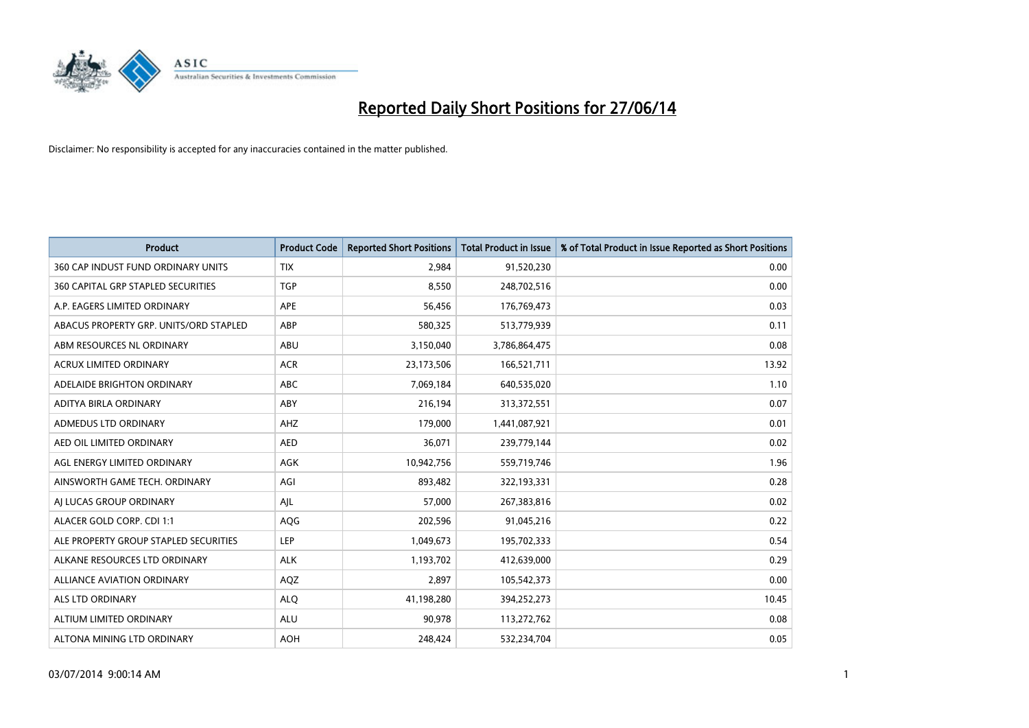

| <b>Product</b>                         | <b>Product Code</b> | <b>Reported Short Positions</b> | <b>Total Product in Issue</b> | % of Total Product in Issue Reported as Short Positions |
|----------------------------------------|---------------------|---------------------------------|-------------------------------|---------------------------------------------------------|
| 360 CAP INDUST FUND ORDINARY UNITS     | <b>TIX</b>          | 2,984                           | 91,520,230                    | 0.00                                                    |
| 360 CAPITAL GRP STAPLED SECURITIES     | <b>TGP</b>          | 8,550                           | 248,702,516                   | 0.00                                                    |
| A.P. EAGERS LIMITED ORDINARY           | <b>APE</b>          | 56,456                          | 176,769,473                   | 0.03                                                    |
| ABACUS PROPERTY GRP. UNITS/ORD STAPLED | ABP                 | 580,325                         | 513,779,939                   | 0.11                                                    |
| ABM RESOURCES NL ORDINARY              | ABU                 | 3,150,040                       | 3,786,864,475                 | 0.08                                                    |
| <b>ACRUX LIMITED ORDINARY</b>          | <b>ACR</b>          | 23,173,506                      | 166,521,711                   | 13.92                                                   |
| ADELAIDE BRIGHTON ORDINARY             | <b>ABC</b>          | 7,069,184                       | 640,535,020                   | 1.10                                                    |
| ADITYA BIRLA ORDINARY                  | ABY                 | 216,194                         | 313,372,551                   | 0.07                                                    |
| ADMEDUS LTD ORDINARY                   | AHZ                 | 179,000                         | 1,441,087,921                 | 0.01                                                    |
| AED OIL LIMITED ORDINARY               | <b>AED</b>          | 36,071                          | 239,779,144                   | 0.02                                                    |
| AGL ENERGY LIMITED ORDINARY            | AGK                 | 10,942,756                      | 559,719,746                   | 1.96                                                    |
| AINSWORTH GAME TECH. ORDINARY          | AGI                 | 893,482                         | 322,193,331                   | 0.28                                                    |
| AI LUCAS GROUP ORDINARY                | AJL                 | 57,000                          | 267,383,816                   | 0.02                                                    |
| ALACER GOLD CORP. CDI 1:1              | AQG                 | 202,596                         | 91,045,216                    | 0.22                                                    |
| ALE PROPERTY GROUP STAPLED SECURITIES  | <b>LEP</b>          | 1,049,673                       | 195,702,333                   | 0.54                                                    |
| ALKANE RESOURCES LTD ORDINARY          | <b>ALK</b>          | 1,193,702                       | 412,639,000                   | 0.29                                                    |
| ALLIANCE AVIATION ORDINARY             | AQZ                 | 2,897                           | 105,542,373                   | 0.00                                                    |
| <b>ALS LTD ORDINARY</b>                | <b>ALQ</b>          | 41,198,280                      | 394,252,273                   | 10.45                                                   |
| ALTIUM LIMITED ORDINARY                | <b>ALU</b>          | 90,978                          | 113,272,762                   | 0.08                                                    |
| ALTONA MINING LTD ORDINARY             | <b>AOH</b>          | 248,424                         | 532,234,704                   | 0.05                                                    |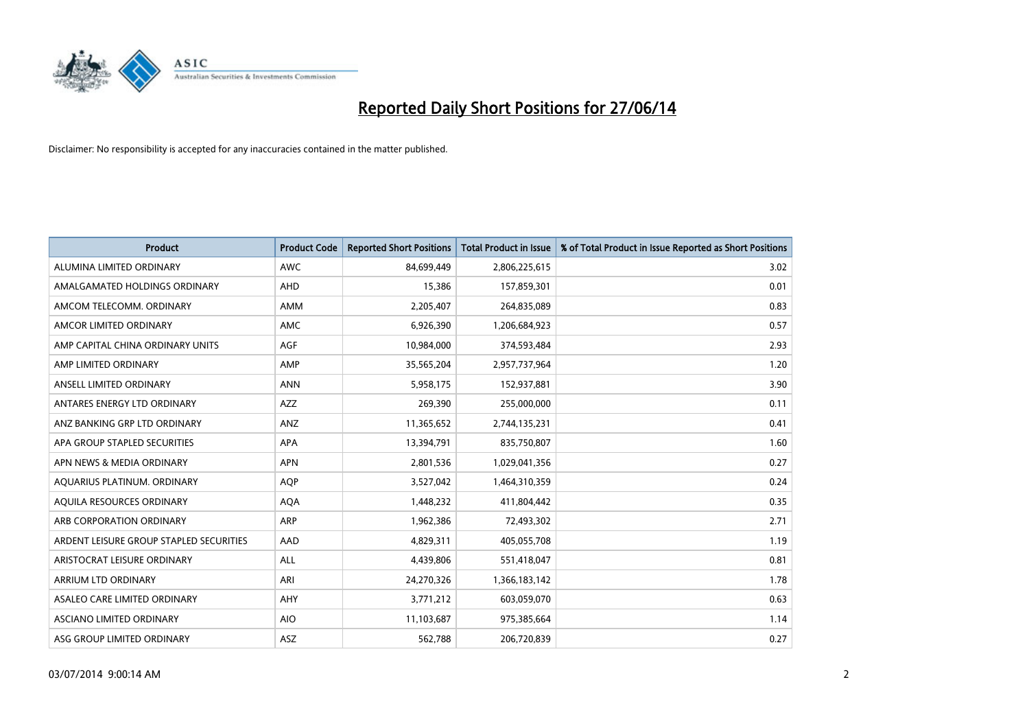

| <b>Product</b>                          | <b>Product Code</b> | <b>Reported Short Positions</b> | <b>Total Product in Issue</b> | % of Total Product in Issue Reported as Short Positions |
|-----------------------------------------|---------------------|---------------------------------|-------------------------------|---------------------------------------------------------|
| ALUMINA LIMITED ORDINARY                | <b>AWC</b>          | 84,699,449                      | 2,806,225,615                 | 3.02                                                    |
| AMALGAMATED HOLDINGS ORDINARY           | <b>AHD</b>          | 15,386                          | 157,859,301                   | 0.01                                                    |
| AMCOM TELECOMM. ORDINARY                | AMM                 | 2,205,407                       | 264,835,089                   | 0.83                                                    |
| AMCOR LIMITED ORDINARY                  | AMC                 | 6,926,390                       | 1,206,684,923                 | 0.57                                                    |
| AMP CAPITAL CHINA ORDINARY UNITS        | AGF                 | 10,984,000                      | 374,593,484                   | 2.93                                                    |
| AMP LIMITED ORDINARY                    | AMP                 | 35,565,204                      | 2,957,737,964                 | 1.20                                                    |
| ANSELL LIMITED ORDINARY                 | <b>ANN</b>          | 5,958,175                       | 152,937,881                   | 3.90                                                    |
| ANTARES ENERGY LTD ORDINARY             | AZZ                 | 269,390                         | 255,000,000                   | 0.11                                                    |
| ANZ BANKING GRP LTD ORDINARY            | ANZ                 | 11,365,652                      | 2,744,135,231                 | 0.41                                                    |
| APA GROUP STAPLED SECURITIES            | <b>APA</b>          | 13,394,791                      | 835,750,807                   | 1.60                                                    |
| APN NEWS & MEDIA ORDINARY               | <b>APN</b>          | 2,801,536                       | 1,029,041,356                 | 0.27                                                    |
| AQUARIUS PLATINUM. ORDINARY             | <b>AOP</b>          | 3,527,042                       | 1,464,310,359                 | 0.24                                                    |
| AQUILA RESOURCES ORDINARY               | <b>AQA</b>          | 1,448,232                       | 411,804,442                   | 0.35                                                    |
| ARB CORPORATION ORDINARY                | <b>ARP</b>          | 1,962,386                       | 72,493,302                    | 2.71                                                    |
| ARDENT LEISURE GROUP STAPLED SECURITIES | AAD                 | 4,829,311                       | 405,055,708                   | 1.19                                                    |
| ARISTOCRAT LEISURE ORDINARY             | ALL                 | 4,439,806                       | 551,418,047                   | 0.81                                                    |
| ARRIUM LTD ORDINARY                     | ARI                 | 24,270,326                      | 1,366,183,142                 | 1.78                                                    |
| ASALEO CARE LIMITED ORDINARY            | AHY                 | 3,771,212                       | 603,059,070                   | 0.63                                                    |
| ASCIANO LIMITED ORDINARY                | <b>AIO</b>          | 11,103,687                      | 975,385,664                   | 1.14                                                    |
| ASG GROUP LIMITED ORDINARY              | ASZ                 | 562,788                         | 206,720,839                   | 0.27                                                    |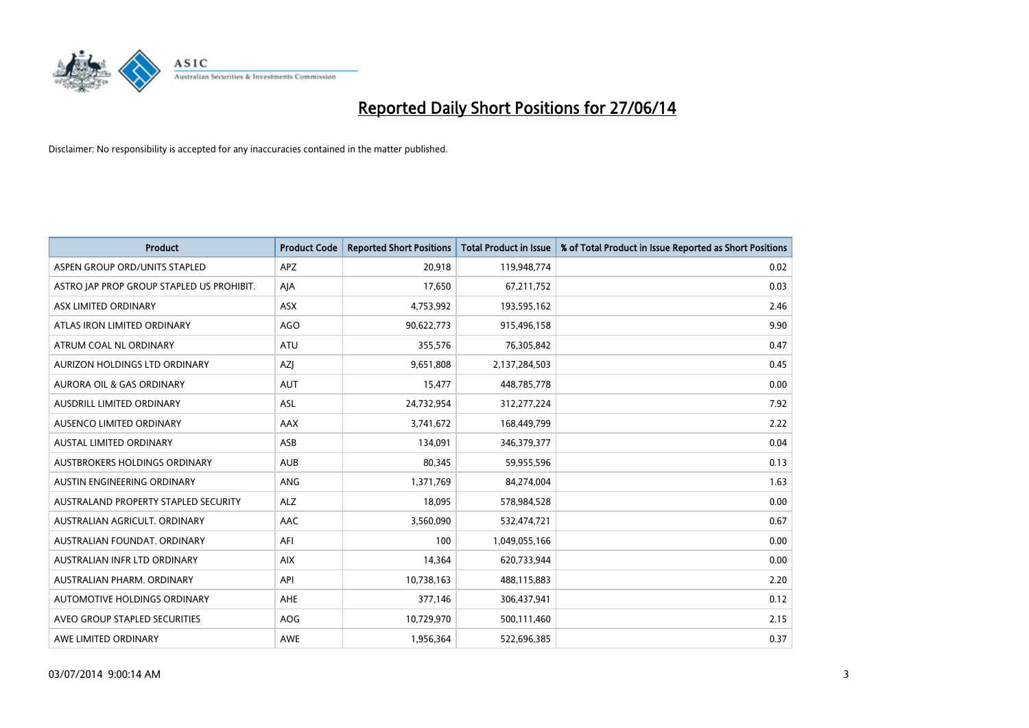

| <b>Product</b>                            | <b>Product Code</b> | <b>Reported Short Positions</b> | <b>Total Product in Issue</b> | % of Total Product in Issue Reported as Short Positions |
|-------------------------------------------|---------------------|---------------------------------|-------------------------------|---------------------------------------------------------|
| ASPEN GROUP ORD/UNITS STAPLED             | <b>APZ</b>          | 20,918                          | 119,948,774                   | 0.02                                                    |
| ASTRO JAP PROP GROUP STAPLED US PROHIBIT. | AJA                 | 17,650                          | 67,211,752                    | 0.03                                                    |
| ASX LIMITED ORDINARY                      | <b>ASX</b>          | 4,753,992                       | 193,595,162                   | 2.46                                                    |
| ATLAS IRON LIMITED ORDINARY               | AGO                 | 90,622,773                      | 915,496,158                   | 9.90                                                    |
| ATRUM COAL NL ORDINARY                    | ATU                 | 355,576                         | 76,305,842                    | 0.47                                                    |
| AURIZON HOLDINGS LTD ORDINARY             | AZJ                 | 9,651,808                       | 2,137,284,503                 | 0.45                                                    |
| <b>AURORA OIL &amp; GAS ORDINARY</b>      | <b>AUT</b>          | 15,477                          | 448,785,778                   | 0.00                                                    |
| AUSDRILL LIMITED ORDINARY                 | ASL                 | 24,732,954                      | 312,277,224                   | 7.92                                                    |
| AUSENCO LIMITED ORDINARY                  | AAX                 | 3,741,672                       | 168,449,799                   | 2.22                                                    |
| <b>AUSTAL LIMITED ORDINARY</b>            | ASB                 | 134,091                         | 346,379,377                   | 0.04                                                    |
| AUSTBROKERS HOLDINGS ORDINARY             | <b>AUB</b>          | 80,345                          | 59,955,596                    | 0.13                                                    |
| AUSTIN ENGINEERING ORDINARY               | ANG                 | 1,371,769                       | 84,274,004                    | 1.63                                                    |
| AUSTRALAND PROPERTY STAPLED SECURITY      | <b>ALZ</b>          | 18,095                          | 578,984,528                   | 0.00                                                    |
| AUSTRALIAN AGRICULT, ORDINARY             | AAC                 | 3,560,090                       | 532,474,721                   | 0.67                                                    |
| AUSTRALIAN FOUNDAT, ORDINARY              | AFI                 | 100                             | 1,049,055,166                 | 0.00                                                    |
| AUSTRALIAN INFR LTD ORDINARY              | <b>AIX</b>          | 14,364                          | 620,733,944                   | 0.00                                                    |
| AUSTRALIAN PHARM. ORDINARY                | API                 | 10,738,163                      | 488,115,883                   | 2.20                                                    |
| AUTOMOTIVE HOLDINGS ORDINARY              | AHE                 | 377,146                         | 306,437,941                   | 0.12                                                    |
| AVEO GROUP STAPLED SECURITIES             | <b>AOG</b>          | 10,729,970                      | 500,111,460                   | 2.15                                                    |
| AWE LIMITED ORDINARY                      | AWE                 | 1,956,364                       | 522,696,385                   | 0.37                                                    |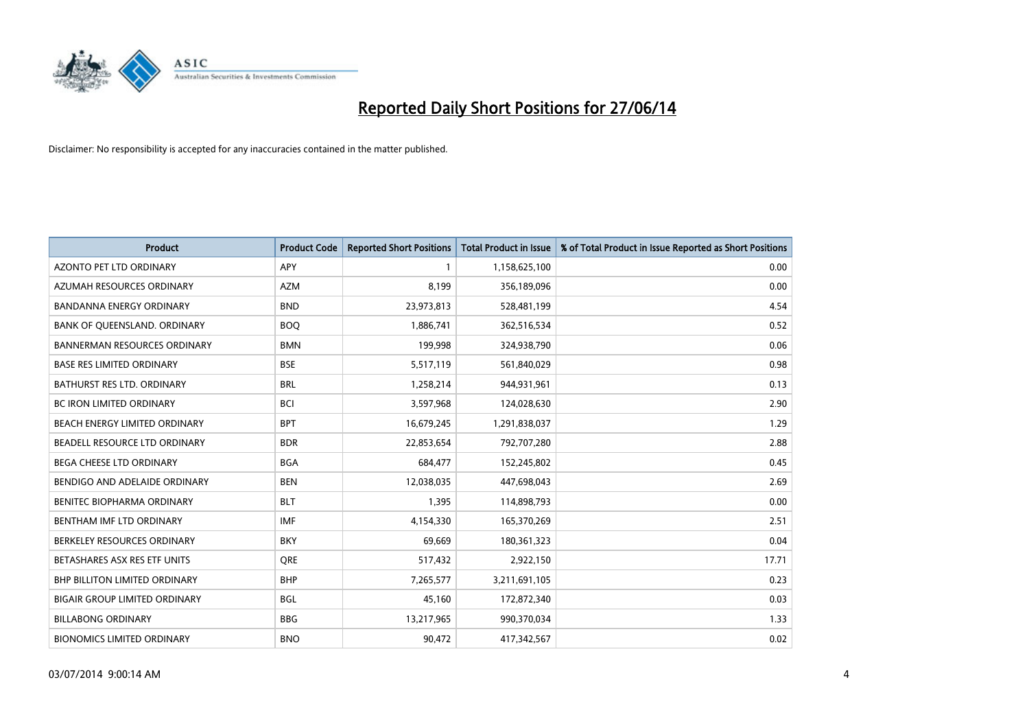

| Product                              | <b>Product Code</b> | <b>Reported Short Positions</b> | <b>Total Product in Issue</b> | % of Total Product in Issue Reported as Short Positions |
|--------------------------------------|---------------------|---------------------------------|-------------------------------|---------------------------------------------------------|
| <b>AZONTO PET LTD ORDINARY</b>       | <b>APY</b>          | 1                               | 1,158,625,100                 | 0.00                                                    |
| AZUMAH RESOURCES ORDINARY            | <b>AZM</b>          | 8.199                           | 356,189,096                   | 0.00                                                    |
| BANDANNA ENERGY ORDINARY             | <b>BND</b>          | 23,973,813                      | 528,481,199                   | 4.54                                                    |
| BANK OF QUEENSLAND. ORDINARY         | <b>BOQ</b>          | 1,886,741                       | 362,516,534                   | 0.52                                                    |
| <b>BANNERMAN RESOURCES ORDINARY</b>  | <b>BMN</b>          | 199,998                         | 324,938,790                   | 0.06                                                    |
| <b>BASE RES LIMITED ORDINARY</b>     | <b>BSE</b>          | 5,517,119                       | 561,840,029                   | 0.98                                                    |
| BATHURST RES LTD. ORDINARY           | <b>BRL</b>          | 1,258,214                       | 944,931,961                   | 0.13                                                    |
| BC IRON LIMITED ORDINARY             | <b>BCI</b>          | 3,597,968                       | 124,028,630                   | 2.90                                                    |
| BEACH ENERGY LIMITED ORDINARY        | <b>BPT</b>          | 16,679,245                      | 1,291,838,037                 | 1.29                                                    |
| BEADELL RESOURCE LTD ORDINARY        | <b>BDR</b>          | 22,853,654                      | 792,707,280                   | 2.88                                                    |
| BEGA CHEESE LTD ORDINARY             | <b>BGA</b>          | 684,477                         | 152,245,802                   | 0.45                                                    |
| BENDIGO AND ADELAIDE ORDINARY        | <b>BEN</b>          | 12,038,035                      | 447,698,043                   | 2.69                                                    |
| BENITEC BIOPHARMA ORDINARY           | <b>BLT</b>          | 1,395                           | 114,898,793                   | 0.00                                                    |
| BENTHAM IMF LTD ORDINARY             | IMF                 | 4,154,330                       | 165,370,269                   | 2.51                                                    |
| BERKELEY RESOURCES ORDINARY          | <b>BKY</b>          | 69,669                          | 180,361,323                   | 0.04                                                    |
| BETASHARES ASX RES ETF UNITS         | <b>ORE</b>          | 517,432                         | 2,922,150                     | 17.71                                                   |
| <b>BHP BILLITON LIMITED ORDINARY</b> | <b>BHP</b>          | 7,265,577                       | 3,211,691,105                 | 0.23                                                    |
| <b>BIGAIR GROUP LIMITED ORDINARY</b> | <b>BGL</b>          | 45,160                          | 172,872,340                   | 0.03                                                    |
| <b>BILLABONG ORDINARY</b>            | <b>BBG</b>          | 13,217,965                      | 990,370,034                   | 1.33                                                    |
| <b>BIONOMICS LIMITED ORDINARY</b>    | <b>BNO</b>          | 90,472                          | 417,342,567                   | 0.02                                                    |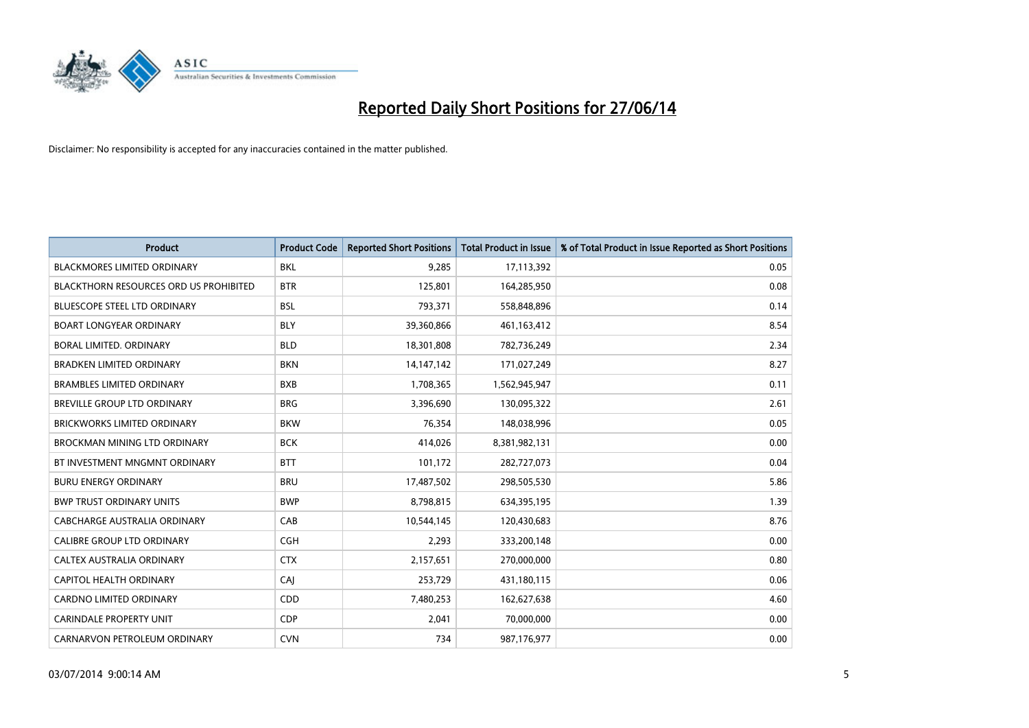

| <b>Product</b>                         | <b>Product Code</b> | <b>Reported Short Positions</b> | <b>Total Product in Issue</b> | % of Total Product in Issue Reported as Short Positions |
|----------------------------------------|---------------------|---------------------------------|-------------------------------|---------------------------------------------------------|
| <b>BLACKMORES LIMITED ORDINARY</b>     | <b>BKL</b>          | 9,285                           | 17,113,392                    | 0.05                                                    |
| BLACKTHORN RESOURCES ORD US PROHIBITED | <b>BTR</b>          | 125,801                         | 164,285,950                   | 0.08                                                    |
| BLUESCOPE STEEL LTD ORDINARY           | <b>BSL</b>          | 793,371                         | 558,848,896                   | 0.14                                                    |
| <b>BOART LONGYEAR ORDINARY</b>         | <b>BLY</b>          | 39,360,866                      | 461,163,412                   | 8.54                                                    |
| <b>BORAL LIMITED, ORDINARY</b>         | <b>BLD</b>          | 18,301,808                      | 782,736,249                   | 2.34                                                    |
| <b>BRADKEN LIMITED ORDINARY</b>        | <b>BKN</b>          | 14, 147, 142                    | 171,027,249                   | 8.27                                                    |
| <b>BRAMBLES LIMITED ORDINARY</b>       | <b>BXB</b>          | 1,708,365                       | 1,562,945,947                 | 0.11                                                    |
| <b>BREVILLE GROUP LTD ORDINARY</b>     | <b>BRG</b>          | 3,396,690                       | 130,095,322                   | 2.61                                                    |
| <b>BRICKWORKS LIMITED ORDINARY</b>     | <b>BKW</b>          | 76,354                          | 148,038,996                   | 0.05                                                    |
| <b>BROCKMAN MINING LTD ORDINARY</b>    | <b>BCK</b>          | 414,026                         | 8,381,982,131                 | 0.00                                                    |
| BT INVESTMENT MNGMNT ORDINARY          | <b>BTT</b>          | 101,172                         | 282,727,073                   | 0.04                                                    |
| <b>BURU ENERGY ORDINARY</b>            | <b>BRU</b>          | 17,487,502                      | 298,505,530                   | 5.86                                                    |
| <b>BWP TRUST ORDINARY UNITS</b>        | <b>BWP</b>          | 8,798,815                       | 634,395,195                   | 1.39                                                    |
| <b>CABCHARGE AUSTRALIA ORDINARY</b>    | CAB                 | 10,544,145                      | 120,430,683                   | 8.76                                                    |
| <b>CALIBRE GROUP LTD ORDINARY</b>      | CGH                 | 2,293                           | 333,200,148                   | 0.00                                                    |
| CALTEX AUSTRALIA ORDINARY              | <b>CTX</b>          | 2,157,651                       | 270,000,000                   | 0.80                                                    |
| CAPITOL HEALTH ORDINARY                | CAJ                 | 253,729                         | 431,180,115                   | 0.06                                                    |
| <b>CARDNO LIMITED ORDINARY</b>         | CDD                 | 7,480,253                       | 162,627,638                   | 4.60                                                    |
| <b>CARINDALE PROPERTY UNIT</b>         | <b>CDP</b>          | 2,041                           | 70,000,000                    | 0.00                                                    |
| CARNARVON PETROLEUM ORDINARY           | <b>CVN</b>          | 734                             | 987,176,977                   | 0.00                                                    |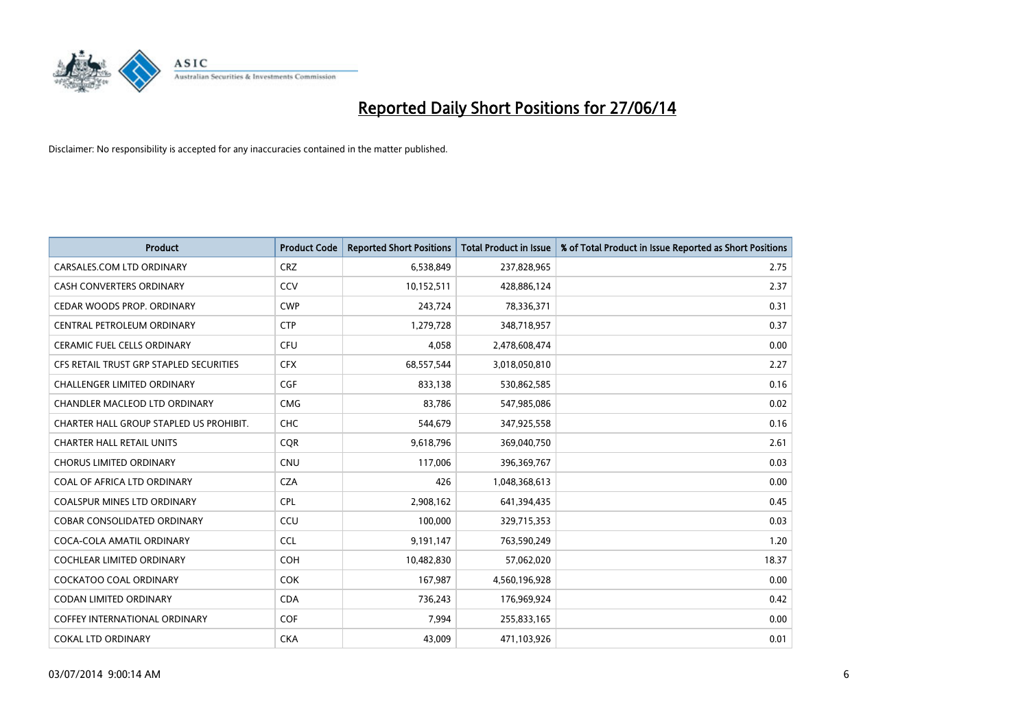

| <b>Product</b>                          | <b>Product Code</b> | <b>Reported Short Positions</b> | <b>Total Product in Issue</b> | % of Total Product in Issue Reported as Short Positions |
|-----------------------------------------|---------------------|---------------------------------|-------------------------------|---------------------------------------------------------|
| CARSALES.COM LTD ORDINARY               | <b>CRZ</b>          | 6,538,849                       | 237,828,965                   | 2.75                                                    |
| <b>CASH CONVERTERS ORDINARY</b>         | CCV                 | 10,152,511                      | 428,886,124                   | 2.37                                                    |
| CEDAR WOODS PROP. ORDINARY              | <b>CWP</b>          | 243,724                         | 78,336,371                    | 0.31                                                    |
| CENTRAL PETROLEUM ORDINARY              | <b>CTP</b>          | 1,279,728                       | 348,718,957                   | 0.37                                                    |
| <b>CERAMIC FUEL CELLS ORDINARY</b>      | <b>CFU</b>          | 4,058                           | 2,478,608,474                 | 0.00                                                    |
| CFS RETAIL TRUST GRP STAPLED SECURITIES | <b>CFX</b>          | 68,557,544                      | 3,018,050,810                 | 2.27                                                    |
| <b>CHALLENGER LIMITED ORDINARY</b>      | <b>CGF</b>          | 833,138                         | 530,862,585                   | 0.16                                                    |
| CHANDLER MACLEOD LTD ORDINARY           | <b>CMG</b>          | 83,786                          | 547,985,086                   | 0.02                                                    |
| CHARTER HALL GROUP STAPLED US PROHIBIT. | <b>CHC</b>          | 544,679                         | 347,925,558                   | 0.16                                                    |
| <b>CHARTER HALL RETAIL UNITS</b>        | <b>CQR</b>          | 9,618,796                       | 369,040,750                   | 2.61                                                    |
| CHORUS LIMITED ORDINARY                 | <b>CNU</b>          | 117,006                         | 396,369,767                   | 0.03                                                    |
| COAL OF AFRICA LTD ORDINARY             | <b>CZA</b>          | 426                             | 1,048,368,613                 | 0.00                                                    |
| <b>COALSPUR MINES LTD ORDINARY</b>      | <b>CPL</b>          | 2,908,162                       | 641,394,435                   | 0.45                                                    |
| <b>COBAR CONSOLIDATED ORDINARY</b>      | CCU                 | 100,000                         | 329,715,353                   | 0.03                                                    |
| COCA-COLA AMATIL ORDINARY               | <b>CCL</b>          | 9,191,147                       | 763,590,249                   | 1.20                                                    |
| COCHLEAR LIMITED ORDINARY               | <b>COH</b>          | 10,482,830                      | 57,062,020                    | 18.37                                                   |
| COCKATOO COAL ORDINARY                  | <b>COK</b>          | 167,987                         | 4,560,196,928                 | 0.00                                                    |
| <b>CODAN LIMITED ORDINARY</b>           | <b>CDA</b>          | 736,243                         | 176,969,924                   | 0.42                                                    |
| <b>COFFEY INTERNATIONAL ORDINARY</b>    | <b>COF</b>          | 7,994                           | 255,833,165                   | 0.00                                                    |
| <b>COKAL LTD ORDINARY</b>               | <b>CKA</b>          | 43,009                          | 471,103,926                   | 0.01                                                    |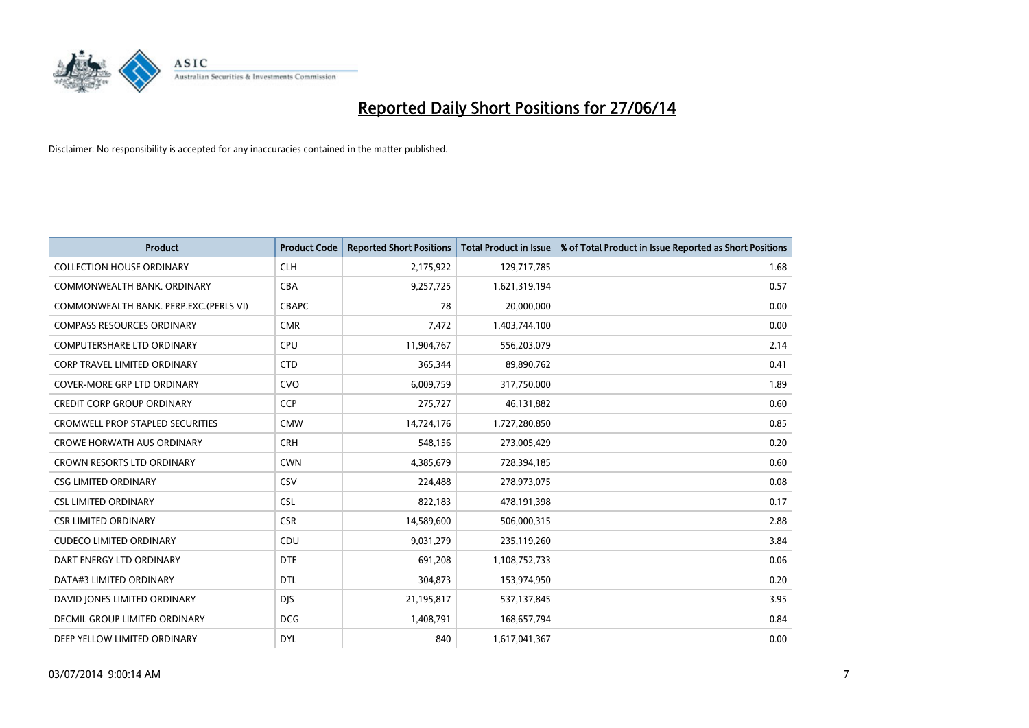

| <b>Product</b>                          | <b>Product Code</b> | <b>Reported Short Positions</b> | <b>Total Product in Issue</b> | % of Total Product in Issue Reported as Short Positions |
|-----------------------------------------|---------------------|---------------------------------|-------------------------------|---------------------------------------------------------|
| <b>COLLECTION HOUSE ORDINARY</b>        | <b>CLH</b>          | 2,175,922                       | 129,717,785                   | 1.68                                                    |
| COMMONWEALTH BANK, ORDINARY             | <b>CBA</b>          | 9,257,725                       | 1,621,319,194                 | 0.57                                                    |
| COMMONWEALTH BANK, PERP.EXC.(PERLS VI)  | <b>CBAPC</b>        | 78                              | 20,000,000                    | 0.00                                                    |
| <b>COMPASS RESOURCES ORDINARY</b>       | <b>CMR</b>          | 7,472                           | 1,403,744,100                 | 0.00                                                    |
| <b>COMPUTERSHARE LTD ORDINARY</b>       | <b>CPU</b>          | 11,904,767                      | 556,203,079                   | 2.14                                                    |
| <b>CORP TRAVEL LIMITED ORDINARY</b>     | <b>CTD</b>          | 365,344                         | 89,890,762                    | 0.41                                                    |
| COVER-MORE GRP LTD ORDINARY             | <b>CVO</b>          | 6,009,759                       | 317,750,000                   | 1.89                                                    |
| <b>CREDIT CORP GROUP ORDINARY</b>       | <b>CCP</b>          | 275,727                         | 46,131,882                    | 0.60                                                    |
| <b>CROMWELL PROP STAPLED SECURITIES</b> | <b>CMW</b>          | 14,724,176                      | 1,727,280,850                 | 0.85                                                    |
| <b>CROWE HORWATH AUS ORDINARY</b>       | <b>CRH</b>          | 548,156                         | 273,005,429                   | 0.20                                                    |
| CROWN RESORTS LTD ORDINARY              | <b>CWN</b>          | 4,385,679                       | 728,394,185                   | 0.60                                                    |
| <b>CSG LIMITED ORDINARY</b>             | <b>CSV</b>          | 224,488                         | 278,973,075                   | 0.08                                                    |
| <b>CSL LIMITED ORDINARY</b>             | <b>CSL</b>          | 822,183                         | 478,191,398                   | 0.17                                                    |
| <b>CSR LIMITED ORDINARY</b>             | <b>CSR</b>          | 14,589,600                      | 506,000,315                   | 2.88                                                    |
| <b>CUDECO LIMITED ORDINARY</b>          | CDU                 | 9,031,279                       | 235,119,260                   | 3.84                                                    |
| DART ENERGY LTD ORDINARY                | <b>DTE</b>          | 691,208                         | 1,108,752,733                 | 0.06                                                    |
| DATA#3 LIMITED ORDINARY                 | <b>DTL</b>          | 304,873                         | 153,974,950                   | 0.20                                                    |
| DAVID JONES LIMITED ORDINARY            | <b>DJS</b>          | 21,195,817                      | 537,137,845                   | 3.95                                                    |
| DECMIL GROUP LIMITED ORDINARY           | <b>DCG</b>          | 1,408,791                       | 168,657,794                   | 0.84                                                    |
| DEEP YELLOW LIMITED ORDINARY            | <b>DYL</b>          | 840                             | 1,617,041,367                 | 0.00                                                    |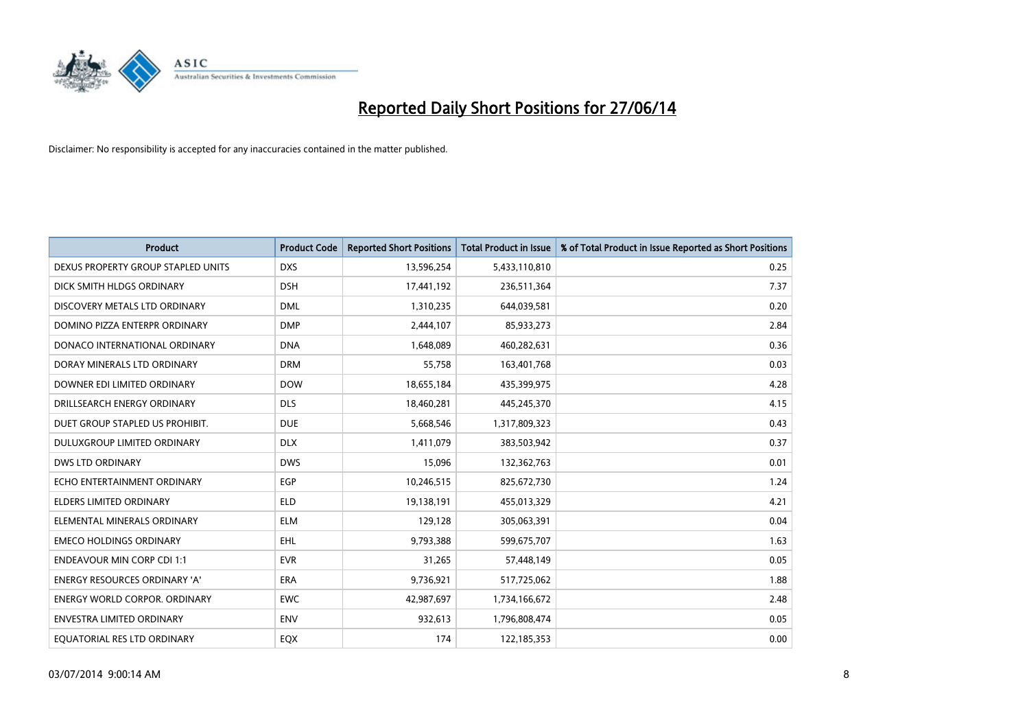

| <b>Product</b>                       | <b>Product Code</b> | <b>Reported Short Positions</b> | <b>Total Product in Issue</b> | % of Total Product in Issue Reported as Short Positions |
|--------------------------------------|---------------------|---------------------------------|-------------------------------|---------------------------------------------------------|
| DEXUS PROPERTY GROUP STAPLED UNITS   | <b>DXS</b>          | 13,596,254                      | 5,433,110,810                 | 0.25                                                    |
| DICK SMITH HLDGS ORDINARY            | <b>DSH</b>          | 17,441,192                      | 236,511,364                   | 7.37                                                    |
| DISCOVERY METALS LTD ORDINARY        | <b>DML</b>          | 1,310,235                       | 644,039,581                   | 0.20                                                    |
| DOMINO PIZZA ENTERPR ORDINARY        | <b>DMP</b>          | 2,444,107                       | 85,933,273                    | 2.84                                                    |
| DONACO INTERNATIONAL ORDINARY        | <b>DNA</b>          | 1,648,089                       | 460,282,631                   | 0.36                                                    |
| DORAY MINERALS LTD ORDINARY          | <b>DRM</b>          | 55,758                          | 163,401,768                   | 0.03                                                    |
| DOWNER EDI LIMITED ORDINARY          | <b>DOW</b>          | 18,655,184                      | 435,399,975                   | 4.28                                                    |
| DRILLSEARCH ENERGY ORDINARY          | <b>DLS</b>          | 18,460,281                      | 445,245,370                   | 4.15                                                    |
| DUET GROUP STAPLED US PROHIBIT.      | <b>DUE</b>          | 5,668,546                       | 1,317,809,323                 | 0.43                                                    |
| DULUXGROUP LIMITED ORDINARY          | <b>DLX</b>          | 1,411,079                       | 383,503,942                   | 0.37                                                    |
| <b>DWS LTD ORDINARY</b>              | <b>DWS</b>          | 15,096                          | 132,362,763                   | 0.01                                                    |
| ECHO ENTERTAINMENT ORDINARY          | EGP                 | 10,246,515                      | 825,672,730                   | 1.24                                                    |
| <b>ELDERS LIMITED ORDINARY</b>       | <b>ELD</b>          | 19,138,191                      | 455,013,329                   | 4.21                                                    |
| ELEMENTAL MINERALS ORDINARY          | <b>ELM</b>          | 129,128                         | 305,063,391                   | 0.04                                                    |
| <b>EMECO HOLDINGS ORDINARY</b>       | <b>EHL</b>          | 9,793,388                       | 599,675,707                   | 1.63                                                    |
| <b>ENDEAVOUR MIN CORP CDI 1:1</b>    | <b>EVR</b>          | 31,265                          | 57,448,149                    | 0.05                                                    |
| <b>ENERGY RESOURCES ORDINARY 'A'</b> | <b>ERA</b>          | 9,736,921                       | 517,725,062                   | 1.88                                                    |
| <b>ENERGY WORLD CORPOR. ORDINARY</b> | <b>EWC</b>          | 42,987,697                      | 1,734,166,672                 | 2.48                                                    |
| ENVESTRA LIMITED ORDINARY            | <b>ENV</b>          | 932,613                         | 1,796,808,474                 | 0.05                                                    |
| EQUATORIAL RES LTD ORDINARY          | EQX                 | 174                             | 122,185,353                   | 0.00                                                    |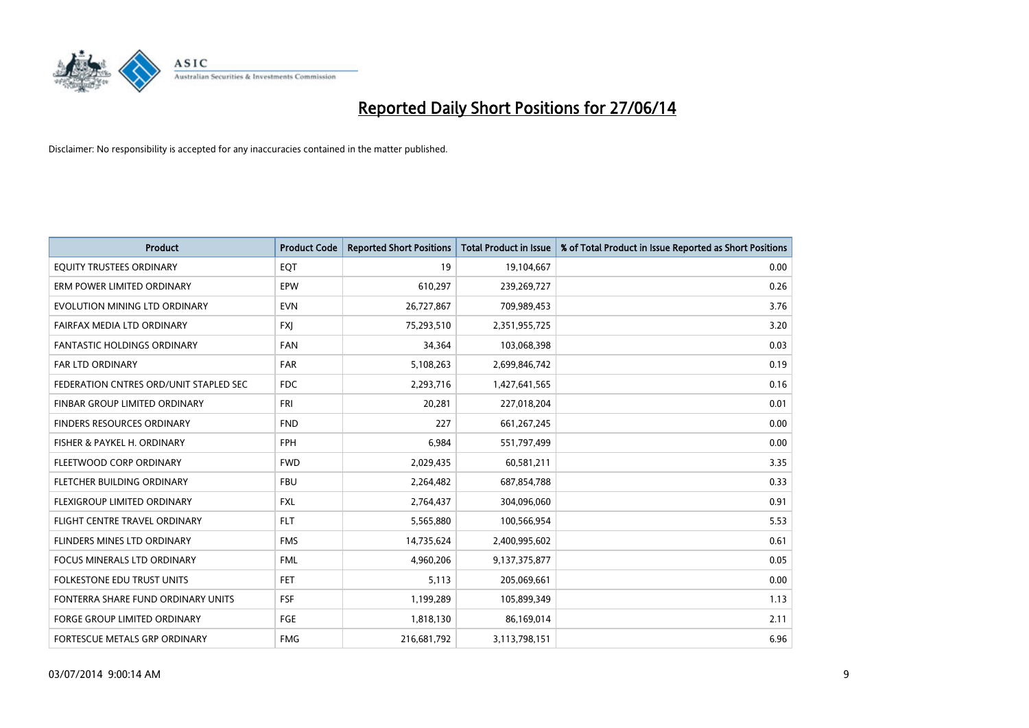

| <b>Product</b>                         | <b>Product Code</b> | <b>Reported Short Positions</b> | <b>Total Product in Issue</b> | % of Total Product in Issue Reported as Short Positions |
|----------------------------------------|---------------------|---------------------------------|-------------------------------|---------------------------------------------------------|
| EQUITY TRUSTEES ORDINARY               | EQT                 | 19                              | 19,104,667                    | 0.00                                                    |
| ERM POWER LIMITED ORDINARY             | EPW                 | 610,297                         | 239,269,727                   | 0.26                                                    |
| EVOLUTION MINING LTD ORDINARY          | <b>EVN</b>          | 26,727,867                      | 709,989,453                   | 3.76                                                    |
| FAIRFAX MEDIA LTD ORDINARY             | <b>FXI</b>          | 75,293,510                      | 2,351,955,725                 | 3.20                                                    |
| <b>FANTASTIC HOLDINGS ORDINARY</b>     | <b>FAN</b>          | 34,364                          | 103,068,398                   | 0.03                                                    |
| FAR LTD ORDINARY                       | <b>FAR</b>          | 5,108,263                       | 2,699,846,742                 | 0.19                                                    |
| FEDERATION CNTRES ORD/UNIT STAPLED SEC | <b>FDC</b>          | 2,293,716                       | 1,427,641,565                 | 0.16                                                    |
| FINBAR GROUP LIMITED ORDINARY          | FRI                 | 20,281                          | 227,018,204                   | 0.01                                                    |
| <b>FINDERS RESOURCES ORDINARY</b>      | <b>FND</b>          | 227                             | 661,267,245                   | 0.00                                                    |
| FISHER & PAYKEL H. ORDINARY            | <b>FPH</b>          | 6,984                           | 551,797,499                   | 0.00                                                    |
| FLEETWOOD CORP ORDINARY                | <b>FWD</b>          | 2,029,435                       | 60,581,211                    | 3.35                                                    |
| FLETCHER BUILDING ORDINARY             | <b>FBU</b>          | 2,264,482                       | 687,854,788                   | 0.33                                                    |
| FLEXIGROUP LIMITED ORDINARY            | <b>FXL</b>          | 2,764,437                       | 304,096,060                   | 0.91                                                    |
| FLIGHT CENTRE TRAVEL ORDINARY          | <b>FLT</b>          | 5,565,880                       | 100,566,954                   | 5.53                                                    |
| FLINDERS MINES LTD ORDINARY            | <b>FMS</b>          | 14,735,624                      | 2,400,995,602                 | 0.61                                                    |
| <b>FOCUS MINERALS LTD ORDINARY</b>     | <b>FML</b>          | 4,960,206                       | 9,137,375,877                 | 0.05                                                    |
| <b>FOLKESTONE EDU TRUST UNITS</b>      | FET                 | 5,113                           | 205,069,661                   | 0.00                                                    |
| FONTERRA SHARE FUND ORDINARY UNITS     | <b>FSF</b>          | 1,199,289                       | 105,899,349                   | 1.13                                                    |
| <b>FORGE GROUP LIMITED ORDINARY</b>    | FGE                 | 1,818,130                       | 86,169,014                    | 2.11                                                    |
| FORTESCUE METALS GRP ORDINARY          | <b>FMG</b>          | 216,681,792                     | 3,113,798,151                 | 6.96                                                    |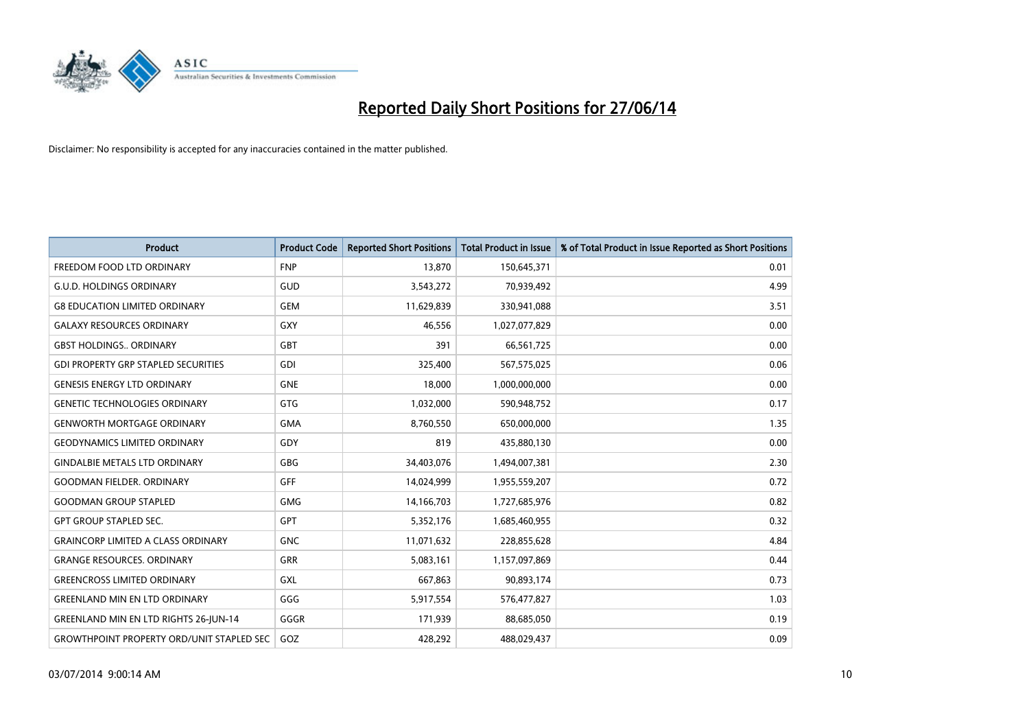

| <b>Product</b>                                   | <b>Product Code</b> | <b>Reported Short Positions</b> | <b>Total Product in Issue</b> | % of Total Product in Issue Reported as Short Positions |
|--------------------------------------------------|---------------------|---------------------------------|-------------------------------|---------------------------------------------------------|
| FREEDOM FOOD LTD ORDINARY                        | <b>FNP</b>          | 13,870                          | 150,645,371                   | 0.01                                                    |
| <b>G.U.D. HOLDINGS ORDINARY</b>                  | GUD                 | 3,543,272                       | 70,939,492                    | 4.99                                                    |
| <b>G8 EDUCATION LIMITED ORDINARY</b>             | <b>GEM</b>          | 11,629,839                      | 330,941,088                   | 3.51                                                    |
| <b>GALAXY RESOURCES ORDINARY</b>                 | <b>GXY</b>          | 46,556                          | 1,027,077,829                 | 0.00                                                    |
| <b>GBST HOLDINGS., ORDINARY</b>                  | <b>GBT</b>          | 391                             | 66,561,725                    | 0.00                                                    |
| <b>GDI PROPERTY GRP STAPLED SECURITIES</b>       | GDI                 | 325,400                         | 567,575,025                   | 0.06                                                    |
| <b>GENESIS ENERGY LTD ORDINARY</b>               | <b>GNE</b>          | 18,000                          | 1,000,000,000                 | 0.00                                                    |
| <b>GENETIC TECHNOLOGIES ORDINARY</b>             | <b>GTG</b>          | 1,032,000                       | 590,948,752                   | 0.17                                                    |
| <b>GENWORTH MORTGAGE ORDINARY</b>                | <b>GMA</b>          | 8,760,550                       | 650,000,000                   | 1.35                                                    |
| <b>GEODYNAMICS LIMITED ORDINARY</b>              | GDY                 | 819                             | 435,880,130                   | 0.00                                                    |
| <b>GINDALBIE METALS LTD ORDINARY</b>             | GBG                 | 34,403,076                      | 1,494,007,381                 | 2.30                                                    |
| <b>GOODMAN FIELDER, ORDINARY</b>                 | <b>GFF</b>          | 14,024,999                      | 1,955,559,207                 | 0.72                                                    |
| <b>GOODMAN GROUP STAPLED</b>                     | <b>GMG</b>          | 14,166,703                      | 1,727,685,976                 | 0.82                                                    |
| <b>GPT GROUP STAPLED SEC.</b>                    | GPT                 | 5,352,176                       | 1,685,460,955                 | 0.32                                                    |
| <b>GRAINCORP LIMITED A CLASS ORDINARY</b>        | <b>GNC</b>          | 11,071,632                      | 228,855,628                   | 4.84                                                    |
| <b>GRANGE RESOURCES. ORDINARY</b>                | GRR                 | 5,083,161                       | 1,157,097,869                 | 0.44                                                    |
| <b>GREENCROSS LIMITED ORDINARY</b>               | GXL                 | 667,863                         | 90,893,174                    | 0.73                                                    |
| <b>GREENLAND MIN EN LTD ORDINARY</b>             | GGG                 | 5,917,554                       | 576,477,827                   | 1.03                                                    |
| <b>GREENLAND MIN EN LTD RIGHTS 26-JUN-14</b>     | GGGR                | 171,939                         | 88,685,050                    | 0.19                                                    |
| <b>GROWTHPOINT PROPERTY ORD/UNIT STAPLED SEC</b> | GOZ                 | 428,292                         | 488,029,437                   | 0.09                                                    |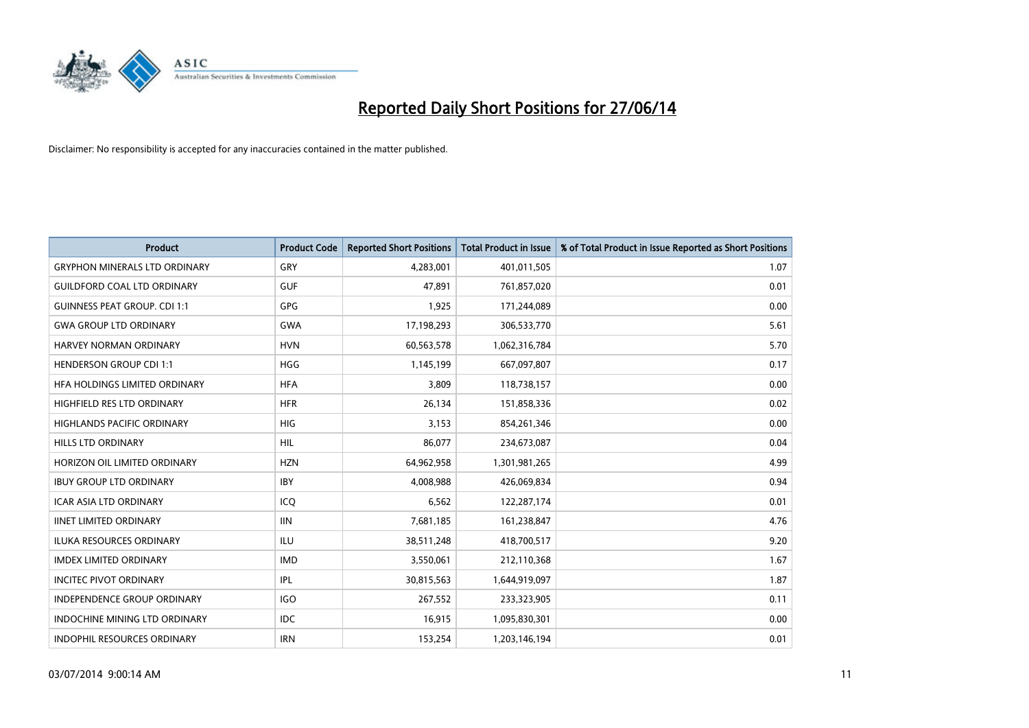

| <b>Product</b>                       | <b>Product Code</b> | <b>Reported Short Positions</b> | <b>Total Product in Issue</b> | % of Total Product in Issue Reported as Short Positions |
|--------------------------------------|---------------------|---------------------------------|-------------------------------|---------------------------------------------------------|
| <b>GRYPHON MINERALS LTD ORDINARY</b> | GRY                 | 4,283,001                       | 401,011,505                   | 1.07                                                    |
| <b>GUILDFORD COAL LTD ORDINARY</b>   | <b>GUF</b>          | 47,891                          | 761,857,020                   | 0.01                                                    |
| <b>GUINNESS PEAT GROUP. CDI 1:1</b>  | <b>GPG</b>          | 1,925                           | 171,244,089                   | 0.00                                                    |
| <b>GWA GROUP LTD ORDINARY</b>        | <b>GWA</b>          | 17,198,293                      | 306,533,770                   | 5.61                                                    |
| HARVEY NORMAN ORDINARY               | <b>HVN</b>          | 60,563,578                      | 1,062,316,784                 | 5.70                                                    |
| <b>HENDERSON GROUP CDI 1:1</b>       | <b>HGG</b>          | 1,145,199                       | 667,097,807                   | 0.17                                                    |
| <b>HFA HOLDINGS LIMITED ORDINARY</b> | <b>HFA</b>          | 3,809                           | 118,738,157                   | 0.00                                                    |
| HIGHFIELD RES LTD ORDINARY           | <b>HFR</b>          | 26,134                          | 151,858,336                   | 0.02                                                    |
| <b>HIGHLANDS PACIFIC ORDINARY</b>    | HIG                 | 3,153                           | 854,261,346                   | 0.00                                                    |
| HILLS LTD ORDINARY                   | <b>HIL</b>          | 86,077                          | 234,673,087                   | 0.04                                                    |
| HORIZON OIL LIMITED ORDINARY         | <b>HZN</b>          | 64,962,958                      | 1,301,981,265                 | 4.99                                                    |
| <b>IBUY GROUP LTD ORDINARY</b>       | <b>IBY</b>          | 4,008,988                       | 426,069,834                   | 0.94                                                    |
| <b>ICAR ASIA LTD ORDINARY</b>        | ICQ                 | 6,562                           | 122,287,174                   | 0.01                                                    |
| <b>IINET LIMITED ORDINARY</b>        | <b>IIN</b>          | 7,681,185                       | 161,238,847                   | 4.76                                                    |
| ILUKA RESOURCES ORDINARY             | ILU                 | 38,511,248                      | 418,700,517                   | 9.20                                                    |
| <b>IMDEX LIMITED ORDINARY</b>        | <b>IMD</b>          | 3,550,061                       | 212,110,368                   | 1.67                                                    |
| <b>INCITEC PIVOT ORDINARY</b>        | IPL                 | 30,815,563                      | 1,644,919,097                 | 1.87                                                    |
| <b>INDEPENDENCE GROUP ORDINARY</b>   | <b>IGO</b>          | 267,552                         | 233,323,905                   | 0.11                                                    |
| <b>INDOCHINE MINING LTD ORDINARY</b> | <b>IDC</b>          | 16,915                          | 1,095,830,301                 | 0.00                                                    |
| INDOPHIL RESOURCES ORDINARY          | <b>IRN</b>          | 153,254                         | 1,203,146,194                 | 0.01                                                    |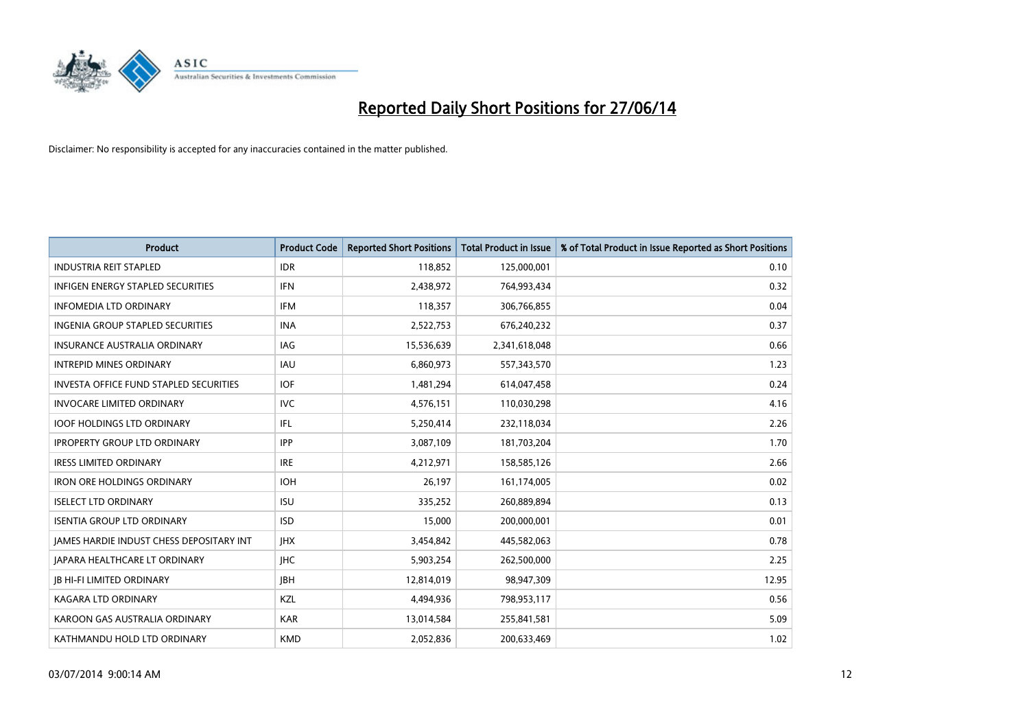

| <b>Product</b>                                | <b>Product Code</b> | <b>Reported Short Positions</b> | <b>Total Product in Issue</b> | % of Total Product in Issue Reported as Short Positions |
|-----------------------------------------------|---------------------|---------------------------------|-------------------------------|---------------------------------------------------------|
| <b>INDUSTRIA REIT STAPLED</b>                 | <b>IDR</b>          | 118,852                         | 125,000,001                   | 0.10                                                    |
| INFIGEN ENERGY STAPLED SECURITIES             | <b>IFN</b>          | 2,438,972                       | 764,993,434                   | 0.32                                                    |
| <b>INFOMEDIA LTD ORDINARY</b>                 | <b>IFM</b>          | 118,357                         | 306,766,855                   | 0.04                                                    |
| INGENIA GROUP STAPLED SECURITIES              | <b>INA</b>          | 2,522,753                       | 676,240,232                   | 0.37                                                    |
| <b>INSURANCE AUSTRALIA ORDINARY</b>           | IAG                 | 15,536,639                      | 2,341,618,048                 | 0.66                                                    |
| <b>INTREPID MINES ORDINARY</b>                | <b>IAU</b>          | 6,860,973                       | 557,343,570                   | 1.23                                                    |
| <b>INVESTA OFFICE FUND STAPLED SECURITIES</b> | <b>IOF</b>          | 1,481,294                       | 614,047,458                   | 0.24                                                    |
| <b>INVOCARE LIMITED ORDINARY</b>              | <b>IVC</b>          | 4,576,151                       | 110,030,298                   | 4.16                                                    |
| <b>IOOF HOLDINGS LTD ORDINARY</b>             | IFL                 | 5,250,414                       | 232,118,034                   | 2.26                                                    |
| <b>IPROPERTY GROUP LTD ORDINARY</b>           | <b>IPP</b>          | 3,087,109                       | 181,703,204                   | 1.70                                                    |
| <b>IRESS LIMITED ORDINARY</b>                 | <b>IRE</b>          | 4,212,971                       | 158,585,126                   | 2.66                                                    |
| <b>IRON ORE HOLDINGS ORDINARY</b>             | <b>IOH</b>          | 26,197                          | 161,174,005                   | 0.02                                                    |
| <b>ISELECT LTD ORDINARY</b>                   | <b>ISU</b>          | 335,252                         | 260,889,894                   | 0.13                                                    |
| <b>ISENTIA GROUP LTD ORDINARY</b>             | <b>ISD</b>          | 15,000                          | 200,000,001                   | 0.01                                                    |
| JAMES HARDIE INDUST CHESS DEPOSITARY INT      | <b>IHX</b>          | 3,454,842                       | 445,582,063                   | 0.78                                                    |
| <b>JAPARA HEALTHCARE LT ORDINARY</b>          | <b>IHC</b>          | 5,903,254                       | 262,500,000                   | 2.25                                                    |
| <b>JB HI-FI LIMITED ORDINARY</b>              | <b>IBH</b>          | 12,814,019                      | 98,947,309                    | 12.95                                                   |
| <b>KAGARA LTD ORDINARY</b>                    | KZL                 | 4,494,936                       | 798,953,117                   | 0.56                                                    |
| KAROON GAS AUSTRALIA ORDINARY                 | <b>KAR</b>          | 13,014,584                      | 255,841,581                   | 5.09                                                    |
| KATHMANDU HOLD LTD ORDINARY                   | <b>KMD</b>          | 2,052,836                       | 200,633,469                   | 1.02                                                    |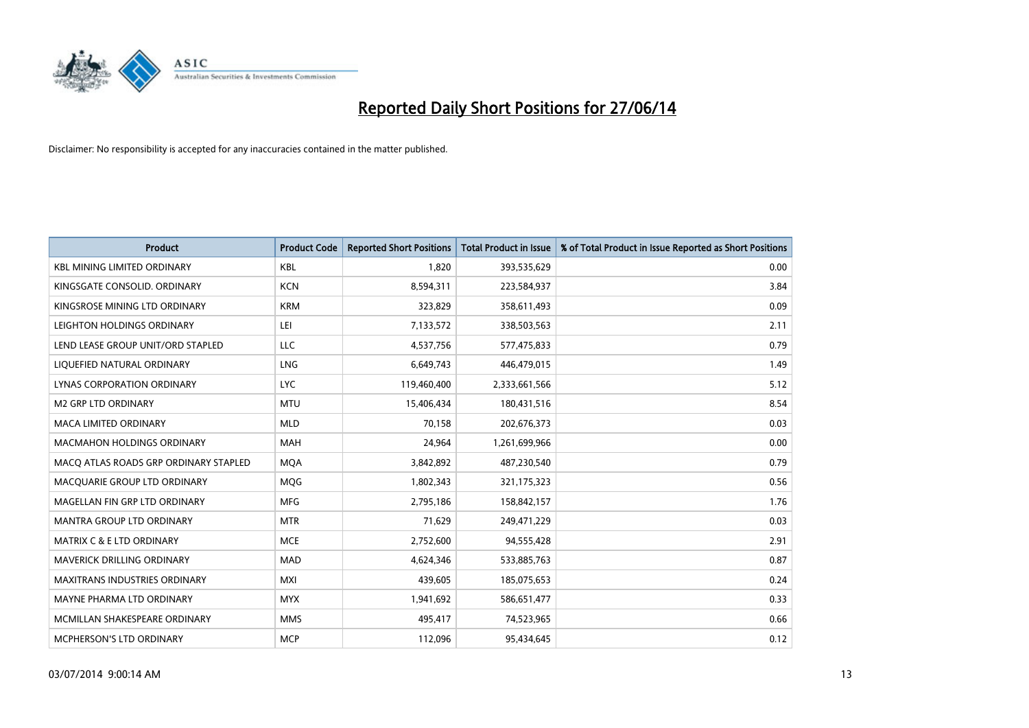

| <b>Product</b>                        | <b>Product Code</b> | <b>Reported Short Positions</b> | <b>Total Product in Issue</b> | % of Total Product in Issue Reported as Short Positions |
|---------------------------------------|---------------------|---------------------------------|-------------------------------|---------------------------------------------------------|
| <b>KBL MINING LIMITED ORDINARY</b>    | <b>KBL</b>          | 1.820                           | 393,535,629                   | 0.00                                                    |
| KINGSGATE CONSOLID. ORDINARY          | <b>KCN</b>          | 8,594,311                       | 223,584,937                   | 3.84                                                    |
| KINGSROSE MINING LTD ORDINARY         | <b>KRM</b>          | 323,829                         | 358,611,493                   | 0.09                                                    |
| LEIGHTON HOLDINGS ORDINARY            | LEI                 | 7,133,572                       | 338,503,563                   | 2.11                                                    |
| LEND LEASE GROUP UNIT/ORD STAPLED     | LLC                 | 4,537,756                       | 577,475,833                   | 0.79                                                    |
| LIQUEFIED NATURAL ORDINARY            | LNG                 | 6,649,743                       | 446,479,015                   | 1.49                                                    |
| LYNAS CORPORATION ORDINARY            | <b>LYC</b>          | 119,460,400                     | 2,333,661,566                 | 5.12                                                    |
| <b>M2 GRP LTD ORDINARY</b>            | <b>MTU</b>          | 15,406,434                      | 180,431,516                   | 8.54                                                    |
| <b>MACA LIMITED ORDINARY</b>          | <b>MLD</b>          | 70,158                          | 202,676,373                   | 0.03                                                    |
| <b>MACMAHON HOLDINGS ORDINARY</b>     | <b>MAH</b>          | 24,964                          | 1,261,699,966                 | 0.00                                                    |
| MACO ATLAS ROADS GRP ORDINARY STAPLED | <b>MQA</b>          | 3,842,892                       | 487,230,540                   | 0.79                                                    |
| MACQUARIE GROUP LTD ORDINARY          | <b>MOG</b>          | 1,802,343                       | 321,175,323                   | 0.56                                                    |
| MAGELLAN FIN GRP LTD ORDINARY         | <b>MFG</b>          | 2,795,186                       | 158,842,157                   | 1.76                                                    |
| <b>MANTRA GROUP LTD ORDINARY</b>      | <b>MTR</b>          | 71,629                          | 249,471,229                   | 0.03                                                    |
| <b>MATRIX C &amp; E LTD ORDINARY</b>  | <b>MCE</b>          | 2,752,600                       | 94,555,428                    | 2.91                                                    |
| MAVERICK DRILLING ORDINARY            | <b>MAD</b>          | 4,624,346                       | 533,885,763                   | 0.87                                                    |
| MAXITRANS INDUSTRIES ORDINARY         | MXI                 | 439,605                         | 185,075,653                   | 0.24                                                    |
| MAYNE PHARMA LTD ORDINARY             | <b>MYX</b>          | 1,941,692                       | 586,651,477                   | 0.33                                                    |
| MCMILLAN SHAKESPEARE ORDINARY         | <b>MMS</b>          | 495,417                         | 74,523,965                    | 0.66                                                    |
| MCPHERSON'S LTD ORDINARY              | <b>MCP</b>          | 112,096                         | 95,434,645                    | 0.12                                                    |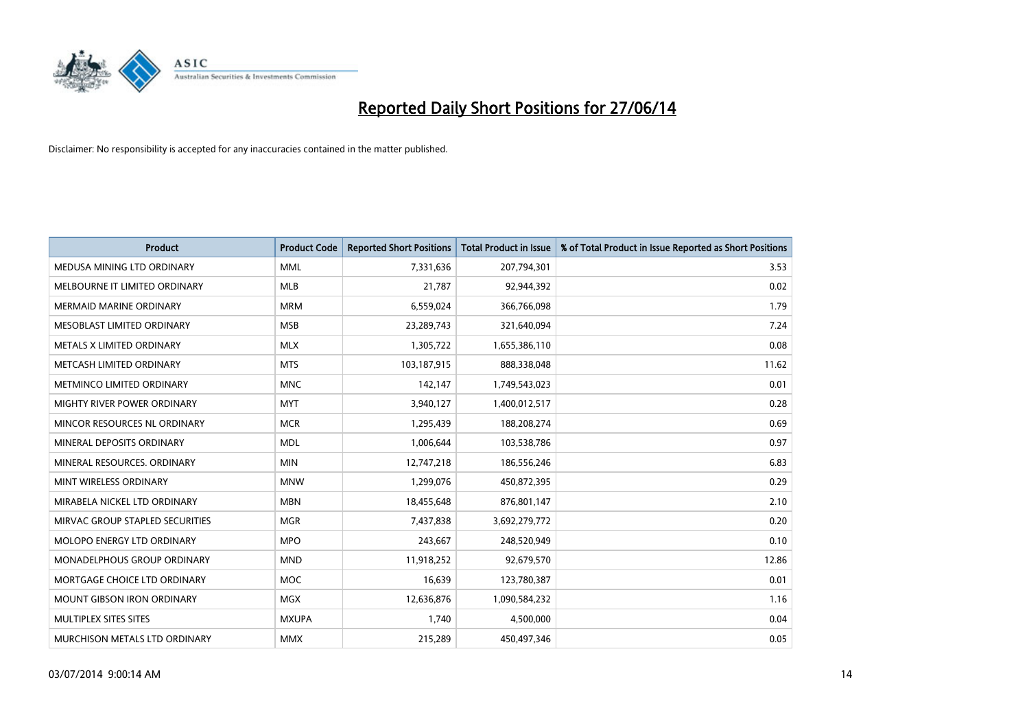

| <b>Product</b>                    | <b>Product Code</b> | <b>Reported Short Positions</b> | <b>Total Product in Issue</b> | % of Total Product in Issue Reported as Short Positions |
|-----------------------------------|---------------------|---------------------------------|-------------------------------|---------------------------------------------------------|
| MEDUSA MINING LTD ORDINARY        | <b>MML</b>          | 7,331,636                       | 207,794,301                   | 3.53                                                    |
| MELBOURNE IT LIMITED ORDINARY     | <b>MLB</b>          | 21,787                          | 92,944,392                    | 0.02                                                    |
| <b>MERMAID MARINE ORDINARY</b>    | <b>MRM</b>          | 6,559,024                       | 366,766,098                   | 1.79                                                    |
| MESOBLAST LIMITED ORDINARY        | <b>MSB</b>          | 23,289,743                      | 321,640,094                   | 7.24                                                    |
| METALS X LIMITED ORDINARY         | <b>MLX</b>          | 1,305,722                       | 1,655,386,110                 | 0.08                                                    |
| METCASH LIMITED ORDINARY          | <b>MTS</b>          | 103,187,915                     | 888,338,048                   | 11.62                                                   |
| METMINCO LIMITED ORDINARY         | <b>MNC</b>          | 142,147                         | 1,749,543,023                 | 0.01                                                    |
| MIGHTY RIVER POWER ORDINARY       | <b>MYT</b>          | 3,940,127                       | 1,400,012,517                 | 0.28                                                    |
| MINCOR RESOURCES NL ORDINARY      | <b>MCR</b>          | 1,295,439                       | 188,208,274                   | 0.69                                                    |
| MINERAL DEPOSITS ORDINARY         | <b>MDL</b>          | 1,006,644                       | 103,538,786                   | 0.97                                                    |
| MINERAL RESOURCES. ORDINARY       | <b>MIN</b>          | 12,747,218                      | 186,556,246                   | 6.83                                                    |
| MINT WIRELESS ORDINARY            | <b>MNW</b>          | 1,299,076                       | 450,872,395                   | 0.29                                                    |
| MIRABELA NICKEL LTD ORDINARY      | <b>MBN</b>          | 18,455,648                      | 876,801,147                   | 2.10                                                    |
| MIRVAC GROUP STAPLED SECURITIES   | <b>MGR</b>          | 7,437,838                       | 3,692,279,772                 | 0.20                                                    |
| MOLOPO ENERGY LTD ORDINARY        | <b>MPO</b>          | 243,667                         | 248,520,949                   | 0.10                                                    |
| MONADELPHOUS GROUP ORDINARY       | <b>MND</b>          | 11,918,252                      | 92,679,570                    | 12.86                                                   |
| MORTGAGE CHOICE LTD ORDINARY      | MOC                 | 16,639                          | 123,780,387                   | 0.01                                                    |
| <b>MOUNT GIBSON IRON ORDINARY</b> | <b>MGX</b>          | 12,636,876                      | 1,090,584,232                 | 1.16                                                    |
| MULTIPLEX SITES SITES             | <b>MXUPA</b>        | 1,740                           | 4,500,000                     | 0.04                                                    |
| MURCHISON METALS LTD ORDINARY     | <b>MMX</b>          | 215,289                         | 450,497,346                   | 0.05                                                    |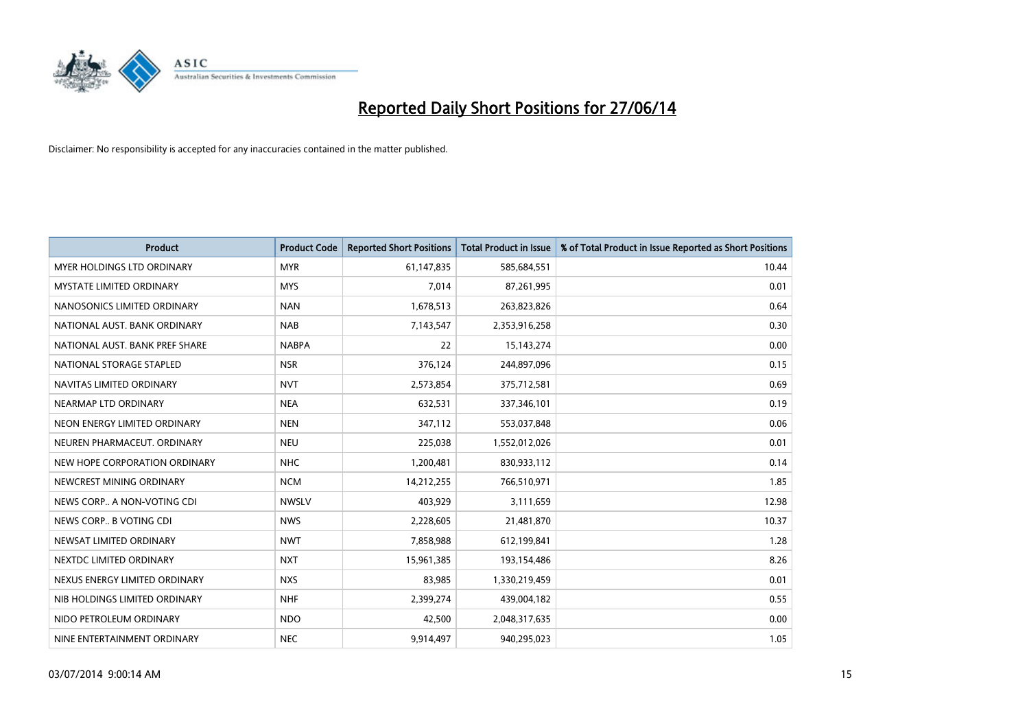

| <b>Product</b>                    | <b>Product Code</b> | <b>Reported Short Positions</b> | <b>Total Product in Issue</b> | % of Total Product in Issue Reported as Short Positions |
|-----------------------------------|---------------------|---------------------------------|-------------------------------|---------------------------------------------------------|
| <b>MYER HOLDINGS LTD ORDINARY</b> | <b>MYR</b>          | 61,147,835                      | 585,684,551                   | 10.44                                                   |
| <b>MYSTATE LIMITED ORDINARY</b>   | <b>MYS</b>          | 7,014                           | 87,261,995                    | 0.01                                                    |
| NANOSONICS LIMITED ORDINARY       | <b>NAN</b>          | 1,678,513                       | 263,823,826                   | 0.64                                                    |
| NATIONAL AUST, BANK ORDINARY      | <b>NAB</b>          | 7,143,547                       | 2,353,916,258                 | 0.30                                                    |
| NATIONAL AUST. BANK PREF SHARE    | <b>NABPA</b>        | 22                              | 15, 143, 274                  | 0.00                                                    |
| NATIONAL STORAGE STAPLED          | <b>NSR</b>          | 376,124                         | 244,897,096                   | 0.15                                                    |
| NAVITAS LIMITED ORDINARY          | <b>NVT</b>          | 2,573,854                       | 375,712,581                   | 0.69                                                    |
| NEARMAP LTD ORDINARY              | <b>NEA</b>          | 632,531                         | 337,346,101                   | 0.19                                                    |
| NEON ENERGY LIMITED ORDINARY      | <b>NEN</b>          | 347,112                         | 553,037,848                   | 0.06                                                    |
| NEUREN PHARMACEUT, ORDINARY       | <b>NEU</b>          | 225,038                         | 1,552,012,026                 | 0.01                                                    |
| NEW HOPE CORPORATION ORDINARY     | <b>NHC</b>          | 1,200,481                       | 830,933,112                   | 0.14                                                    |
| NEWCREST MINING ORDINARY          | <b>NCM</b>          | 14,212,255                      | 766,510,971                   | 1.85                                                    |
| NEWS CORP A NON-VOTING CDI        | <b>NWSLV</b>        | 403,929                         | 3,111,659                     | 12.98                                                   |
| NEWS CORP B VOTING CDI            | <b>NWS</b>          | 2,228,605                       | 21,481,870                    | 10.37                                                   |
| NEWSAT LIMITED ORDINARY           | <b>NWT</b>          | 7,858,988                       | 612,199,841                   | 1.28                                                    |
| NEXTDC LIMITED ORDINARY           | <b>NXT</b>          | 15,961,385                      | 193,154,486                   | 8.26                                                    |
| NEXUS ENERGY LIMITED ORDINARY     | <b>NXS</b>          | 83,985                          | 1,330,219,459                 | 0.01                                                    |
| NIB HOLDINGS LIMITED ORDINARY     | <b>NHF</b>          | 2,399,274                       | 439,004,182                   | 0.55                                                    |
| NIDO PETROLEUM ORDINARY           | <b>NDO</b>          | 42,500                          | 2,048,317,635                 | 0.00                                                    |
| NINE ENTERTAINMENT ORDINARY       | <b>NEC</b>          | 9,914,497                       | 940,295,023                   | 1.05                                                    |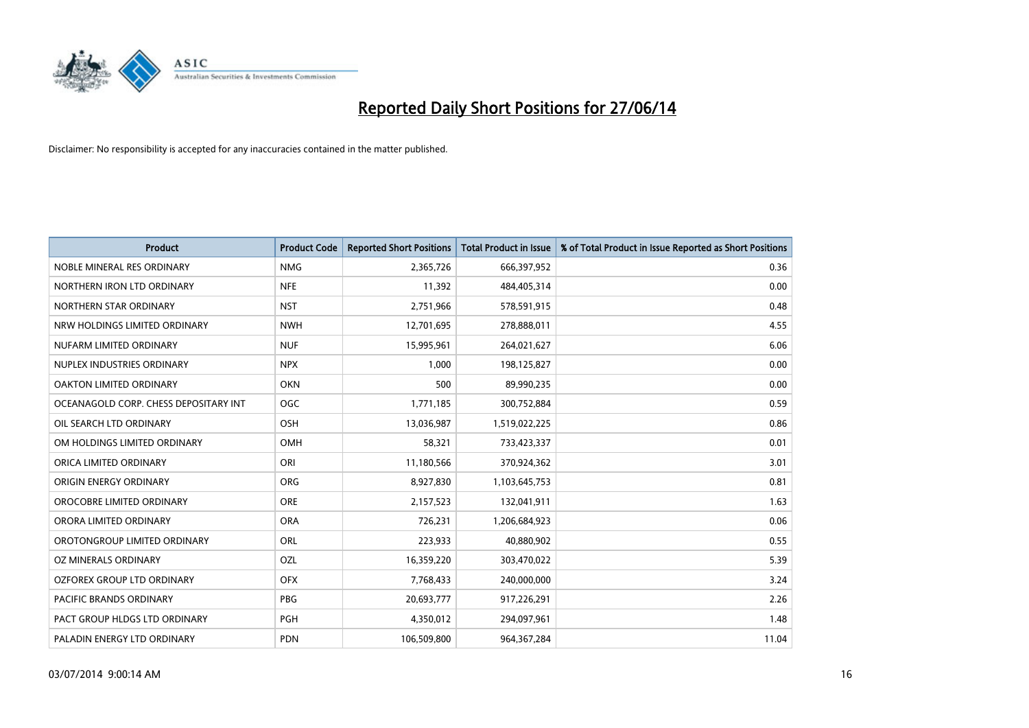

| <b>Product</b>                        | <b>Product Code</b> | <b>Reported Short Positions</b> | <b>Total Product in Issue</b> | % of Total Product in Issue Reported as Short Positions |
|---------------------------------------|---------------------|---------------------------------|-------------------------------|---------------------------------------------------------|
| NOBLE MINERAL RES ORDINARY            | <b>NMG</b>          | 2,365,726                       | 666,397,952                   | 0.36                                                    |
| NORTHERN IRON LTD ORDINARY            | <b>NFE</b>          | 11,392                          | 484,405,314                   | 0.00                                                    |
| NORTHERN STAR ORDINARY                | <b>NST</b>          | 2,751,966                       | 578,591,915                   | 0.48                                                    |
| NRW HOLDINGS LIMITED ORDINARY         | <b>NWH</b>          | 12,701,695                      | 278,888,011                   | 4.55                                                    |
| NUFARM LIMITED ORDINARY               | <b>NUF</b>          | 15,995,961                      | 264,021,627                   | 6.06                                                    |
| NUPLEX INDUSTRIES ORDINARY            | <b>NPX</b>          | 1,000                           | 198,125,827                   | 0.00                                                    |
| OAKTON LIMITED ORDINARY               | <b>OKN</b>          | 500                             | 89,990,235                    | 0.00                                                    |
| OCEANAGOLD CORP. CHESS DEPOSITARY INT | <b>OGC</b>          | 1,771,185                       | 300,752,884                   | 0.59                                                    |
| OIL SEARCH LTD ORDINARY               | OSH                 | 13,036,987                      | 1,519,022,225                 | 0.86                                                    |
| OM HOLDINGS LIMITED ORDINARY          | <b>OMH</b>          | 58,321                          | 733,423,337                   | 0.01                                                    |
| ORICA LIMITED ORDINARY                | ORI                 | 11,180,566                      | 370,924,362                   | 3.01                                                    |
| ORIGIN ENERGY ORDINARY                | <b>ORG</b>          | 8,927,830                       | 1,103,645,753                 | 0.81                                                    |
| OROCOBRE LIMITED ORDINARY             | <b>ORE</b>          | 2,157,523                       | 132,041,911                   | 1.63                                                    |
| ORORA LIMITED ORDINARY                | <b>ORA</b>          | 726,231                         | 1,206,684,923                 | 0.06                                                    |
| OROTONGROUP LIMITED ORDINARY          | <b>ORL</b>          | 223,933                         | 40,880,902                    | 0.55                                                    |
| OZ MINERALS ORDINARY                  | OZL                 | 16,359,220                      | 303,470,022                   | 5.39                                                    |
| OZFOREX GROUP LTD ORDINARY            | <b>OFX</b>          | 7,768,433                       | 240,000,000                   | 3.24                                                    |
| <b>PACIFIC BRANDS ORDINARY</b>        | <b>PBG</b>          | 20,693,777                      | 917,226,291                   | 2.26                                                    |
| PACT GROUP HLDGS LTD ORDINARY         | <b>PGH</b>          | 4,350,012                       | 294,097,961                   | 1.48                                                    |
| PALADIN ENERGY LTD ORDINARY           | <b>PDN</b>          | 106,509,800                     | 964, 367, 284                 | 11.04                                                   |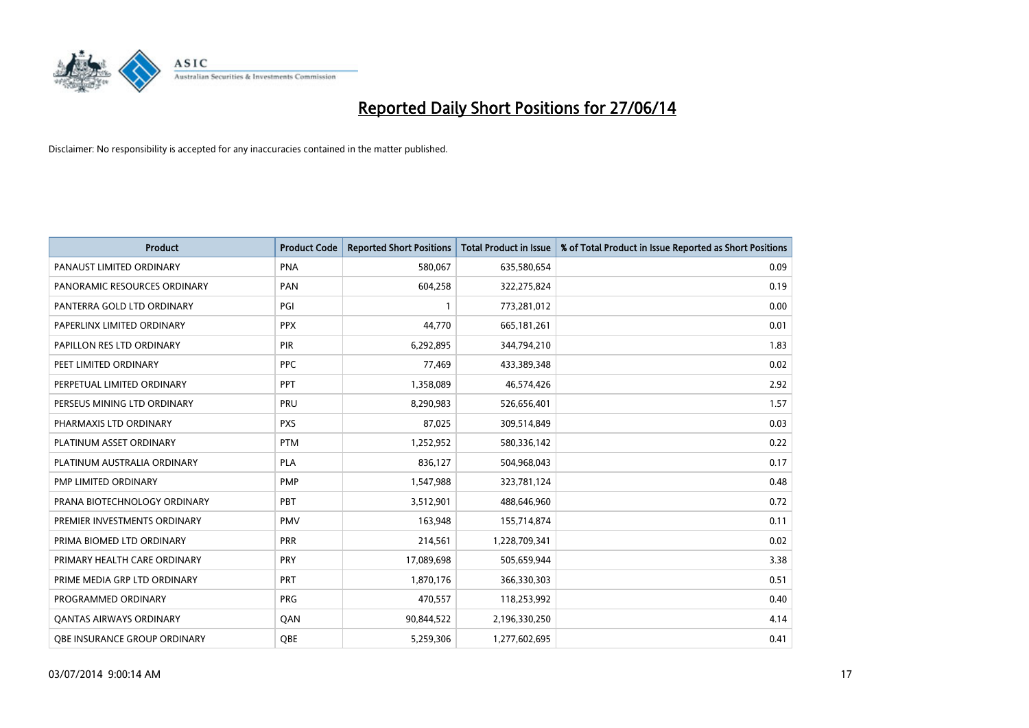

| <b>Product</b>                      | <b>Product Code</b> | <b>Reported Short Positions</b> | <b>Total Product in Issue</b> | % of Total Product in Issue Reported as Short Positions |
|-------------------------------------|---------------------|---------------------------------|-------------------------------|---------------------------------------------------------|
| PANAUST LIMITED ORDINARY            | <b>PNA</b>          | 580,067                         | 635,580,654                   | 0.09                                                    |
| PANORAMIC RESOURCES ORDINARY        | PAN                 | 604,258                         | 322,275,824                   | 0.19                                                    |
| PANTERRA GOLD LTD ORDINARY          | PGI                 | 1                               | 773,281,012                   | 0.00                                                    |
| PAPERLINX LIMITED ORDINARY          | <b>PPX</b>          | 44,770                          | 665, 181, 261                 | 0.01                                                    |
| PAPILLON RES LTD ORDINARY           | PIR                 | 6,292,895                       | 344,794,210                   | 1.83                                                    |
| PEET LIMITED ORDINARY               | <b>PPC</b>          | 77,469                          | 433,389,348                   | 0.02                                                    |
| PERPETUAL LIMITED ORDINARY          | <b>PPT</b>          | 1,358,089                       | 46,574,426                    | 2.92                                                    |
| PERSEUS MINING LTD ORDINARY         | PRU                 | 8,290,983                       | 526,656,401                   | 1.57                                                    |
| PHARMAXIS LTD ORDINARY              | <b>PXS</b>          | 87,025                          | 309,514,849                   | 0.03                                                    |
| PLATINUM ASSET ORDINARY             | <b>PTM</b>          | 1,252,952                       | 580,336,142                   | 0.22                                                    |
| PLATINUM AUSTRALIA ORDINARY         | PLA                 | 836,127                         | 504,968,043                   | 0.17                                                    |
| PMP LIMITED ORDINARY                | <b>PMP</b>          | 1,547,988                       | 323,781,124                   | 0.48                                                    |
| PRANA BIOTECHNOLOGY ORDINARY        | PBT                 | 3,512,901                       | 488,646,960                   | 0.72                                                    |
| PREMIER INVESTMENTS ORDINARY        | <b>PMV</b>          | 163,948                         | 155,714,874                   | 0.11                                                    |
| PRIMA BIOMED LTD ORDINARY           | <b>PRR</b>          | 214,561                         | 1,228,709,341                 | 0.02                                                    |
| PRIMARY HEALTH CARE ORDINARY        | <b>PRY</b>          | 17,089,698                      | 505,659,944                   | 3.38                                                    |
| PRIME MEDIA GRP LTD ORDINARY        | PRT                 | 1,870,176                       | 366,330,303                   | 0.51                                                    |
| PROGRAMMED ORDINARY                 | <b>PRG</b>          | 470,557                         | 118,253,992                   | 0.40                                                    |
| <b>QANTAS AIRWAYS ORDINARY</b>      | QAN                 | 90,844,522                      | 2,196,330,250                 | 4.14                                                    |
| <b>QBE INSURANCE GROUP ORDINARY</b> | OBE                 | 5,259,306                       | 1,277,602,695                 | 0.41                                                    |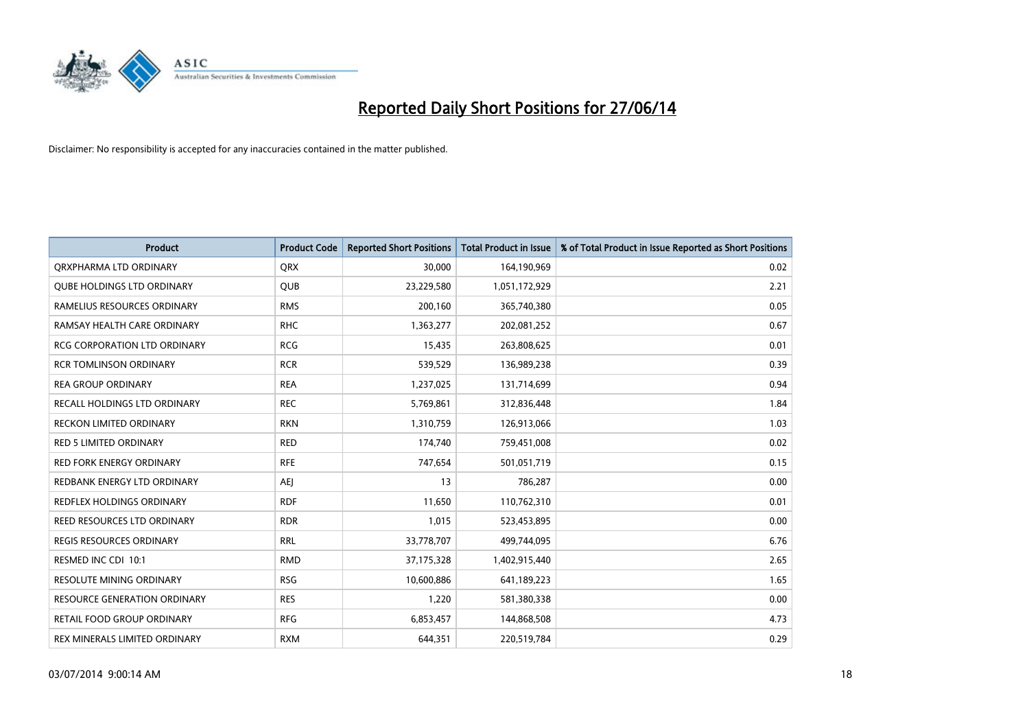

| <b>Product</b>                      | <b>Product Code</b> | <b>Reported Short Positions</b> | <b>Total Product in Issue</b> | % of Total Product in Issue Reported as Short Positions |
|-------------------------------------|---------------------|---------------------------------|-------------------------------|---------------------------------------------------------|
| ORXPHARMA LTD ORDINARY              | <b>QRX</b>          | 30,000                          | 164,190,969                   | 0.02                                                    |
| <b>QUBE HOLDINGS LTD ORDINARY</b>   | <b>QUB</b>          | 23,229,580                      | 1,051,172,929                 | 2.21                                                    |
| RAMELIUS RESOURCES ORDINARY         | <b>RMS</b>          | 200,160                         | 365,740,380                   | 0.05                                                    |
| RAMSAY HEALTH CARE ORDINARY         | <b>RHC</b>          | 1,363,277                       | 202,081,252                   | 0.67                                                    |
| <b>RCG CORPORATION LTD ORDINARY</b> | <b>RCG</b>          | 15,435                          | 263,808,625                   | 0.01                                                    |
| <b>RCR TOMLINSON ORDINARY</b>       | <b>RCR</b>          | 539,529                         | 136,989,238                   | 0.39                                                    |
| <b>REA GROUP ORDINARY</b>           | <b>REA</b>          | 1,237,025                       | 131,714,699                   | 0.94                                                    |
| RECALL HOLDINGS LTD ORDINARY        | <b>REC</b>          | 5,769,861                       | 312,836,448                   | 1.84                                                    |
| <b>RECKON LIMITED ORDINARY</b>      | <b>RKN</b>          | 1,310,759                       | 126,913,066                   | 1.03                                                    |
| <b>RED 5 LIMITED ORDINARY</b>       | <b>RED</b>          | 174,740                         | 759,451,008                   | 0.02                                                    |
| RED FORK ENERGY ORDINARY            | <b>RFE</b>          | 747,654                         | 501,051,719                   | 0.15                                                    |
| REDBANK ENERGY LTD ORDINARY         | AEJ                 | 13                              | 786,287                       | 0.00                                                    |
| REDFLEX HOLDINGS ORDINARY           | <b>RDF</b>          | 11,650                          | 110,762,310                   | 0.01                                                    |
| REED RESOURCES LTD ORDINARY         | <b>RDR</b>          | 1,015                           | 523,453,895                   | 0.00                                                    |
| <b>REGIS RESOURCES ORDINARY</b>     | <b>RRL</b>          | 33,778,707                      | 499,744,095                   | 6.76                                                    |
| RESMED INC CDI 10:1                 | <b>RMD</b>          | 37,175,328                      | 1,402,915,440                 | 2.65                                                    |
| RESOLUTE MINING ORDINARY            | <b>RSG</b>          | 10,600,886                      | 641,189,223                   | 1.65                                                    |
| <b>RESOURCE GENERATION ORDINARY</b> | <b>RES</b>          | 1,220                           | 581,380,338                   | 0.00                                                    |
| RETAIL FOOD GROUP ORDINARY          | <b>RFG</b>          | 6,853,457                       | 144,868,508                   | 4.73                                                    |
| REX MINERALS LIMITED ORDINARY       | <b>RXM</b>          | 644,351                         | 220,519,784                   | 0.29                                                    |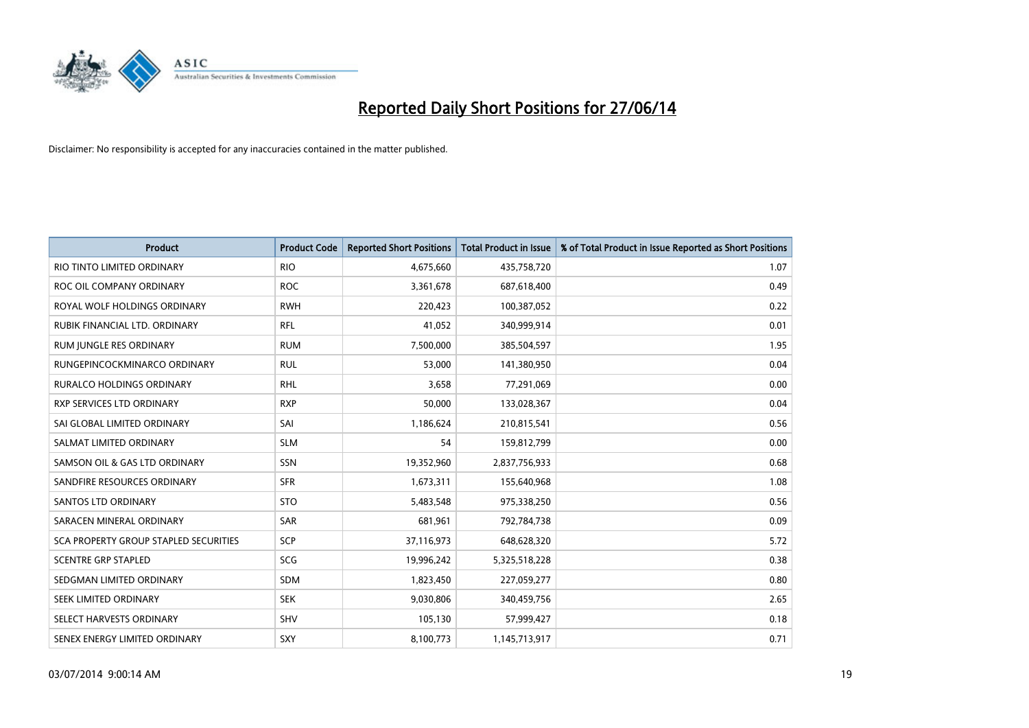

| <b>Product</b>                        | <b>Product Code</b> | <b>Reported Short Positions</b> | <b>Total Product in Issue</b> | % of Total Product in Issue Reported as Short Positions |
|---------------------------------------|---------------------|---------------------------------|-------------------------------|---------------------------------------------------------|
| RIO TINTO LIMITED ORDINARY            | <b>RIO</b>          | 4,675,660                       | 435,758,720                   | 1.07                                                    |
| ROC OIL COMPANY ORDINARY              | <b>ROC</b>          | 3,361,678                       | 687,618,400                   | 0.49                                                    |
| ROYAL WOLF HOLDINGS ORDINARY          | <b>RWH</b>          | 220,423                         | 100,387,052                   | 0.22                                                    |
| RUBIK FINANCIAL LTD. ORDINARY         | <b>RFL</b>          | 41,052                          | 340,999,914                   | 0.01                                                    |
| RUM JUNGLE RES ORDINARY               | <b>RUM</b>          | 7,500,000                       | 385,504,597                   | 1.95                                                    |
| RUNGEPINCOCKMINARCO ORDINARY          | <b>RUL</b>          | 53,000                          | 141,380,950                   | 0.04                                                    |
| <b>RURALCO HOLDINGS ORDINARY</b>      | <b>RHL</b>          | 3,658                           | 77,291,069                    | 0.00                                                    |
| RXP SERVICES LTD ORDINARY             | <b>RXP</b>          | 50,000                          | 133,028,367                   | 0.04                                                    |
| SAI GLOBAL LIMITED ORDINARY           | SAI                 | 1,186,624                       | 210,815,541                   | 0.56                                                    |
| SALMAT LIMITED ORDINARY               | <b>SLM</b>          | 54                              | 159,812,799                   | 0.00                                                    |
| SAMSON OIL & GAS LTD ORDINARY         | SSN                 | 19,352,960                      | 2,837,756,933                 | 0.68                                                    |
| SANDFIRE RESOURCES ORDINARY           | <b>SFR</b>          | 1,673,311                       | 155,640,968                   | 1.08                                                    |
| <b>SANTOS LTD ORDINARY</b>            | <b>STO</b>          | 5,483,548                       | 975,338,250                   | 0.56                                                    |
| SARACEN MINERAL ORDINARY              | SAR                 | 681,961                         | 792,784,738                   | 0.09                                                    |
| SCA PROPERTY GROUP STAPLED SECURITIES | SCP                 | 37,116,973                      | 648,628,320                   | 5.72                                                    |
| <b>SCENTRE GRP STAPLED</b>            | SCG                 | 19,996,242                      | 5,325,518,228                 | 0.38                                                    |
| SEDGMAN LIMITED ORDINARY              | SDM                 | 1,823,450                       | 227,059,277                   | 0.80                                                    |
| SEEK LIMITED ORDINARY                 | <b>SEK</b>          | 9,030,806                       | 340,459,756                   | 2.65                                                    |
| SELECT HARVESTS ORDINARY              | SHV                 | 105,130                         | 57,999,427                    | 0.18                                                    |
| SENEX ENERGY LIMITED ORDINARY         | SXY                 | 8,100,773                       | 1,145,713,917                 | 0.71                                                    |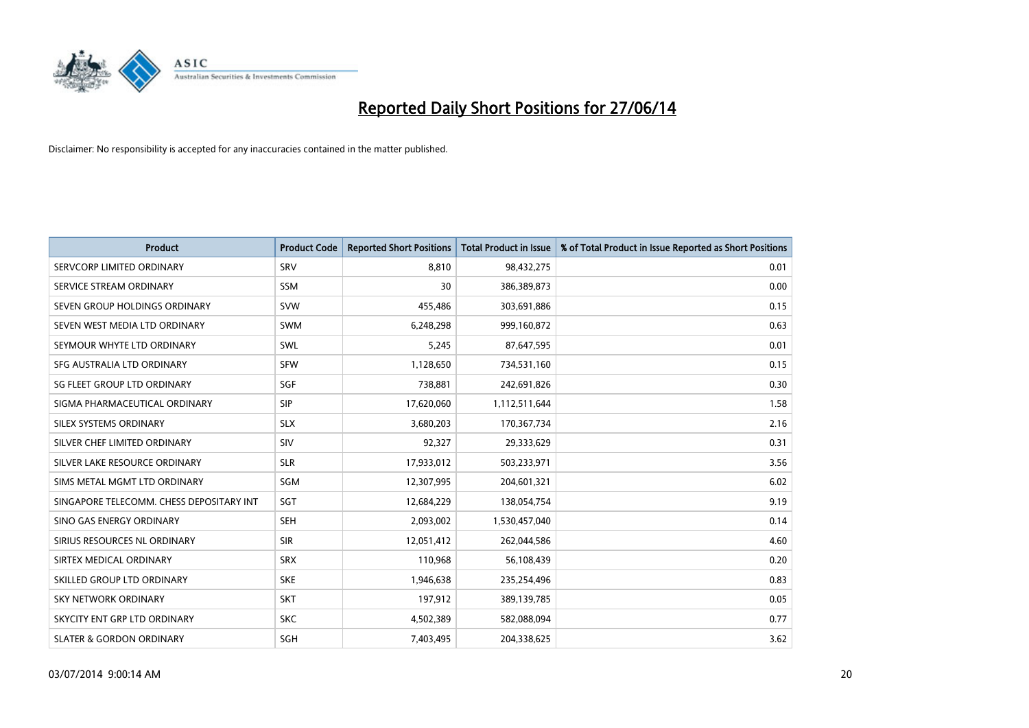

| <b>Product</b>                           | <b>Product Code</b> | <b>Reported Short Positions</b> | <b>Total Product in Issue</b> | % of Total Product in Issue Reported as Short Positions |
|------------------------------------------|---------------------|---------------------------------|-------------------------------|---------------------------------------------------------|
| SERVCORP LIMITED ORDINARY                | SRV                 | 8,810                           | 98,432,275                    | 0.01                                                    |
| SERVICE STREAM ORDINARY                  | <b>SSM</b>          | 30                              | 386,389,873                   | 0.00                                                    |
| SEVEN GROUP HOLDINGS ORDINARY            | <b>SVW</b>          | 455,486                         | 303,691,886                   | 0.15                                                    |
| SEVEN WEST MEDIA LTD ORDINARY            | <b>SWM</b>          | 6,248,298                       | 999,160,872                   | 0.63                                                    |
| SEYMOUR WHYTE LTD ORDINARY               | <b>SWL</b>          | 5,245                           | 87,647,595                    | 0.01                                                    |
| SFG AUSTRALIA LTD ORDINARY               | <b>SFW</b>          | 1,128,650                       | 734,531,160                   | 0.15                                                    |
| SG FLEET GROUP LTD ORDINARY              | SGF                 | 738,881                         | 242,691,826                   | 0.30                                                    |
| SIGMA PHARMACEUTICAL ORDINARY            | <b>SIP</b>          | 17,620,060                      | 1,112,511,644                 | 1.58                                                    |
| SILEX SYSTEMS ORDINARY                   | <b>SLX</b>          | 3,680,203                       | 170,367,734                   | 2.16                                                    |
| SILVER CHEF LIMITED ORDINARY             | SIV                 | 92,327                          | 29,333,629                    | 0.31                                                    |
| SILVER LAKE RESOURCE ORDINARY            | <b>SLR</b>          | 17,933,012                      | 503,233,971                   | 3.56                                                    |
| SIMS METAL MGMT LTD ORDINARY             | SGM                 | 12,307,995                      | 204,601,321                   | 6.02                                                    |
| SINGAPORE TELECOMM. CHESS DEPOSITARY INT | <b>SGT</b>          | 12,684,229                      | 138,054,754                   | 9.19                                                    |
| SINO GAS ENERGY ORDINARY                 | <b>SEH</b>          | 2,093,002                       | 1,530,457,040                 | 0.14                                                    |
| SIRIUS RESOURCES NL ORDINARY             | <b>SIR</b>          | 12,051,412                      | 262,044,586                   | 4.60                                                    |
| SIRTEX MEDICAL ORDINARY                  | <b>SRX</b>          | 110,968                         | 56,108,439                    | 0.20                                                    |
| SKILLED GROUP LTD ORDINARY               | <b>SKE</b>          | 1,946,638                       | 235,254,496                   | 0.83                                                    |
| SKY NETWORK ORDINARY                     | <b>SKT</b>          | 197,912                         | 389,139,785                   | 0.05                                                    |
| SKYCITY ENT GRP LTD ORDINARY             | <b>SKC</b>          | 4,502,389                       | 582,088,094                   | 0.77                                                    |
| <b>SLATER &amp; GORDON ORDINARY</b>      | SGH                 | 7,403,495                       | 204,338,625                   | 3.62                                                    |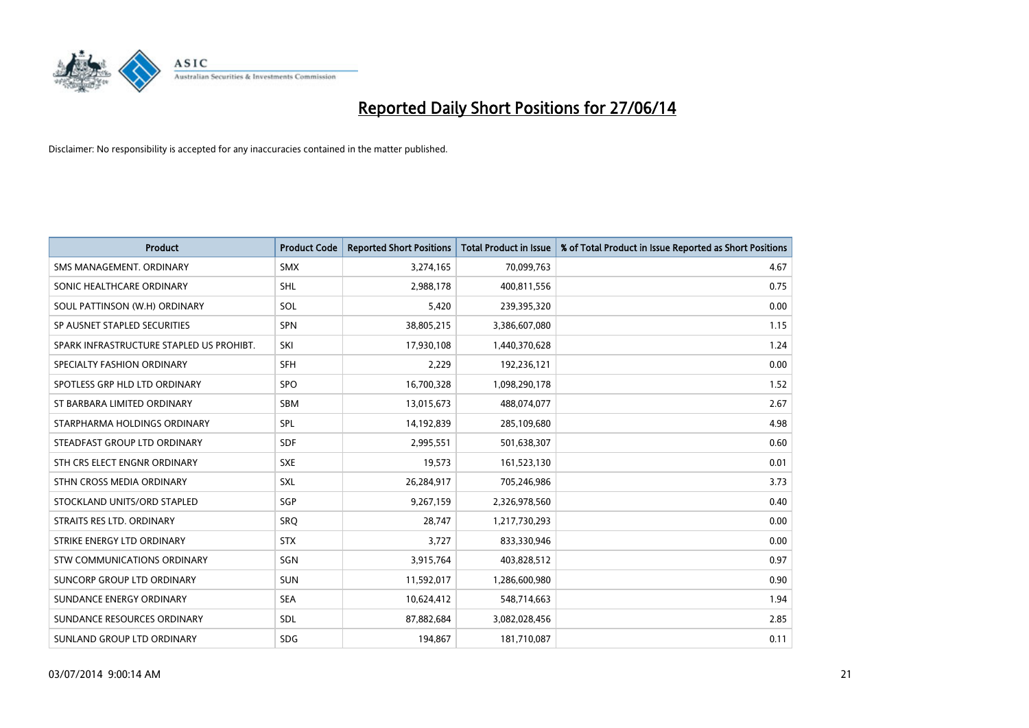

| <b>Product</b>                           | <b>Product Code</b> | <b>Reported Short Positions</b> | <b>Total Product in Issue</b> | % of Total Product in Issue Reported as Short Positions |
|------------------------------------------|---------------------|---------------------------------|-------------------------------|---------------------------------------------------------|
| SMS MANAGEMENT, ORDINARY                 | <b>SMX</b>          | 3,274,165                       | 70,099,763                    | 4.67                                                    |
| SONIC HEALTHCARE ORDINARY                | <b>SHL</b>          | 2,988,178                       | 400,811,556                   | 0.75                                                    |
| SOUL PATTINSON (W.H) ORDINARY            | SOL                 | 5,420                           | 239,395,320                   | 0.00                                                    |
| SP AUSNET STAPLED SECURITIES             | SPN                 | 38,805,215                      | 3,386,607,080                 | 1.15                                                    |
| SPARK INFRASTRUCTURE STAPLED US PROHIBT. | SKI                 | 17,930,108                      | 1,440,370,628                 | 1.24                                                    |
| SPECIALTY FASHION ORDINARY               | SFH                 | 2,229                           | 192,236,121                   | 0.00                                                    |
| SPOTLESS GRP HLD LTD ORDINARY            | SPO                 | 16,700,328                      | 1,098,290,178                 | 1.52                                                    |
| ST BARBARA LIMITED ORDINARY              | SBM                 | 13,015,673                      | 488,074,077                   | 2.67                                                    |
| STARPHARMA HOLDINGS ORDINARY             | <b>SPL</b>          | 14,192,839                      | 285,109,680                   | 4.98                                                    |
| STEADFAST GROUP LTD ORDINARY             | <b>SDF</b>          | 2,995,551                       | 501,638,307                   | 0.60                                                    |
| STH CRS ELECT ENGNR ORDINARY             | <b>SXE</b>          | 19,573                          | 161,523,130                   | 0.01                                                    |
| STHN CROSS MEDIA ORDINARY                | SXL                 | 26,284,917                      | 705,246,986                   | 3.73                                                    |
| STOCKLAND UNITS/ORD STAPLED              | SGP                 | 9,267,159                       | 2,326,978,560                 | 0.40                                                    |
| STRAITS RES LTD. ORDINARY                | SRO                 | 28,747                          | 1,217,730,293                 | 0.00                                                    |
| STRIKE ENERGY LTD ORDINARY               | <b>STX</b>          | 3,727                           | 833,330,946                   | 0.00                                                    |
| STW COMMUNICATIONS ORDINARY              | SGN                 | 3,915,764                       | 403,828,512                   | 0.97                                                    |
| SUNCORP GROUP LTD ORDINARY               | <b>SUN</b>          | 11,592,017                      | 1,286,600,980                 | 0.90                                                    |
| SUNDANCE ENERGY ORDINARY                 | <b>SEA</b>          | 10,624,412                      | 548,714,663                   | 1.94                                                    |
| SUNDANCE RESOURCES ORDINARY              | <b>SDL</b>          | 87,882,684                      | 3,082,028,456                 | 2.85                                                    |
| SUNLAND GROUP LTD ORDINARY               | <b>SDG</b>          | 194,867                         | 181,710,087                   | 0.11                                                    |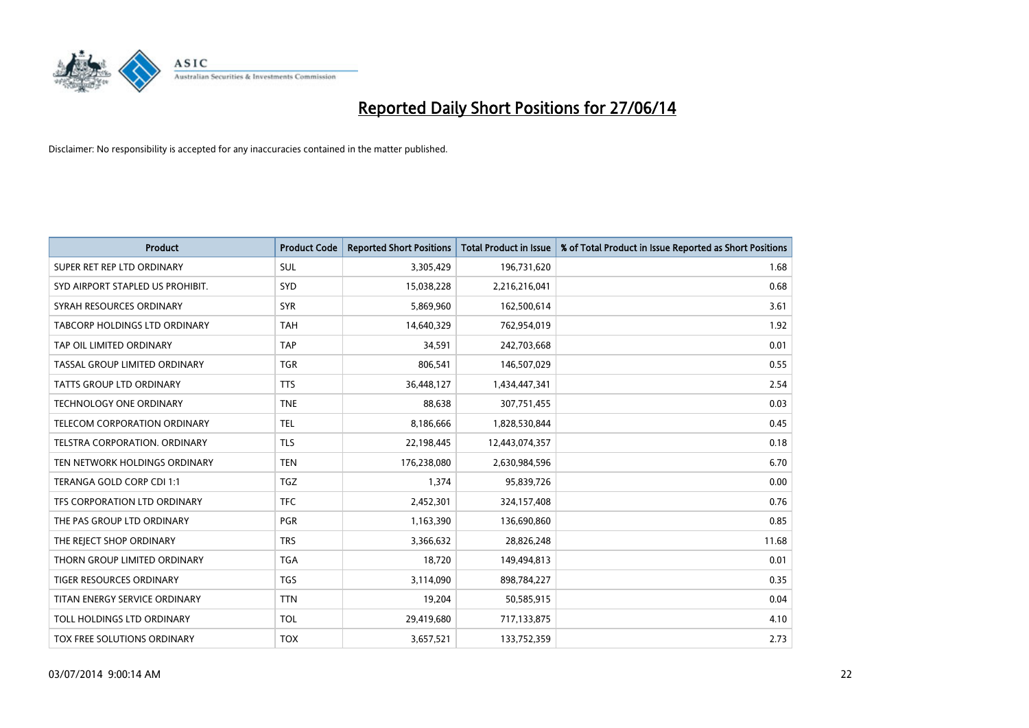

| <b>Product</b>                       | <b>Product Code</b> | <b>Reported Short Positions</b> | <b>Total Product in Issue</b> | % of Total Product in Issue Reported as Short Positions |
|--------------------------------------|---------------------|---------------------------------|-------------------------------|---------------------------------------------------------|
| SUPER RET REP LTD ORDINARY           | <b>SUL</b>          | 3,305,429                       | 196,731,620                   | 1.68                                                    |
| SYD AIRPORT STAPLED US PROHIBIT.     | <b>SYD</b>          | 15,038,228                      | 2,216,216,041                 | 0.68                                                    |
| SYRAH RESOURCES ORDINARY             | <b>SYR</b>          | 5,869,960                       | 162,500,614                   | 3.61                                                    |
| TABCORP HOLDINGS LTD ORDINARY        | <b>TAH</b>          | 14,640,329                      | 762,954,019                   | 1.92                                                    |
| TAP OIL LIMITED ORDINARY             | <b>TAP</b>          | 34,591                          | 242,703,668                   | 0.01                                                    |
| TASSAL GROUP LIMITED ORDINARY        | <b>TGR</b>          | 806,541                         | 146,507,029                   | 0.55                                                    |
| <b>TATTS GROUP LTD ORDINARY</b>      | <b>TTS</b>          | 36,448,127                      | 1,434,447,341                 | 2.54                                                    |
| TECHNOLOGY ONE ORDINARY              | <b>TNE</b>          | 88,638                          | 307,751,455                   | 0.03                                                    |
| TELECOM CORPORATION ORDINARY         | <b>TEL</b>          | 8,186,666                       | 1,828,530,844                 | 0.45                                                    |
| <b>TELSTRA CORPORATION, ORDINARY</b> | <b>TLS</b>          | 22,198,445                      | 12,443,074,357                | 0.18                                                    |
| TEN NETWORK HOLDINGS ORDINARY        | <b>TEN</b>          | 176,238,080                     | 2,630,984,596                 | 6.70                                                    |
| TERANGA GOLD CORP CDI 1:1            | TGZ                 | 1,374                           | 95,839,726                    | 0.00                                                    |
| TFS CORPORATION LTD ORDINARY         | <b>TFC</b>          | 2,452,301                       | 324,157,408                   | 0.76                                                    |
| THE PAS GROUP LTD ORDINARY           | <b>PGR</b>          | 1,163,390                       | 136,690,860                   | 0.85                                                    |
| THE REJECT SHOP ORDINARY             | <b>TRS</b>          | 3,366,632                       | 28,826,248                    | 11.68                                                   |
| THORN GROUP LIMITED ORDINARY         | <b>TGA</b>          | 18,720                          | 149,494,813                   | 0.01                                                    |
| TIGER RESOURCES ORDINARY             | TGS                 | 3,114,090                       | 898,784,227                   | 0.35                                                    |
| TITAN ENERGY SERVICE ORDINARY        | <b>TTN</b>          | 19,204                          | 50,585,915                    | 0.04                                                    |
| TOLL HOLDINGS LTD ORDINARY           | <b>TOL</b>          | 29,419,680                      | 717,133,875                   | 4.10                                                    |
| TOX FREE SOLUTIONS ORDINARY          | <b>TOX</b>          | 3,657,521                       | 133,752,359                   | 2.73                                                    |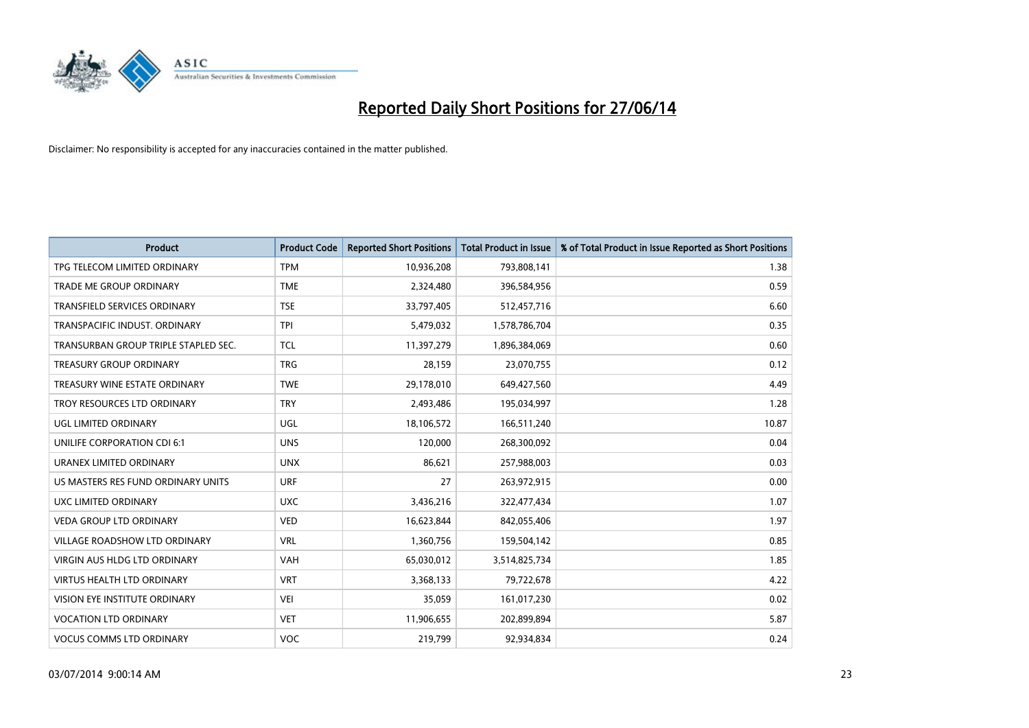

| <b>Product</b>                       | <b>Product Code</b> | <b>Reported Short Positions</b> | <b>Total Product in Issue</b> | % of Total Product in Issue Reported as Short Positions |
|--------------------------------------|---------------------|---------------------------------|-------------------------------|---------------------------------------------------------|
| TPG TELECOM LIMITED ORDINARY         | <b>TPM</b>          | 10,936,208                      | 793,808,141                   | 1.38                                                    |
| TRADE ME GROUP ORDINARY              | <b>TME</b>          | 2,324,480                       | 396,584,956                   | 0.59                                                    |
| <b>TRANSFIELD SERVICES ORDINARY</b>  | <b>TSE</b>          | 33,797,405                      | 512,457,716                   | 6.60                                                    |
| TRANSPACIFIC INDUST. ORDINARY        | <b>TPI</b>          | 5,479,032                       | 1,578,786,704                 | 0.35                                                    |
| TRANSURBAN GROUP TRIPLE STAPLED SEC. | <b>TCL</b>          | 11,397,279                      | 1,896,384,069                 | 0.60                                                    |
| <b>TREASURY GROUP ORDINARY</b>       | <b>TRG</b>          | 28,159                          | 23,070,755                    | 0.12                                                    |
| TREASURY WINE ESTATE ORDINARY        | <b>TWE</b>          | 29,178,010                      | 649,427,560                   | 4.49                                                    |
| TROY RESOURCES LTD ORDINARY          | <b>TRY</b>          | 2,493,486                       | 195,034,997                   | 1.28                                                    |
| UGL LIMITED ORDINARY                 | UGL                 | 18,106,572                      | 166,511,240                   | 10.87                                                   |
| UNILIFE CORPORATION CDI 6:1          | <b>UNS</b>          | 120,000                         | 268,300,092                   | 0.04                                                    |
| URANEX LIMITED ORDINARY              | <b>UNX</b>          | 86,621                          | 257,988,003                   | 0.03                                                    |
| US MASTERS RES FUND ORDINARY UNITS   | <b>URF</b>          | 27                              | 263,972,915                   | 0.00                                                    |
| UXC LIMITED ORDINARY                 | <b>UXC</b>          | 3,436,216                       | 322,477,434                   | 1.07                                                    |
| <b>VEDA GROUP LTD ORDINARY</b>       | <b>VED</b>          | 16,623,844                      | 842,055,406                   | 1.97                                                    |
| <b>VILLAGE ROADSHOW LTD ORDINARY</b> | <b>VRL</b>          | 1,360,756                       | 159,504,142                   | 0.85                                                    |
| <b>VIRGIN AUS HLDG LTD ORDINARY</b>  | VAH                 | 65,030,012                      | 3,514,825,734                 | 1.85                                                    |
| VIRTUS HEALTH LTD ORDINARY           | <b>VRT</b>          | 3,368,133                       | 79,722,678                    | 4.22                                                    |
| VISION EYE INSTITUTE ORDINARY        | <b>VEI</b>          | 35,059                          | 161,017,230                   | 0.02                                                    |
| <b>VOCATION LTD ORDINARY</b>         | <b>VET</b>          | 11,906,655                      | 202,899,894                   | 5.87                                                    |
| <b>VOCUS COMMS LTD ORDINARY</b>      | VOC                 | 219,799                         | 92,934,834                    | 0.24                                                    |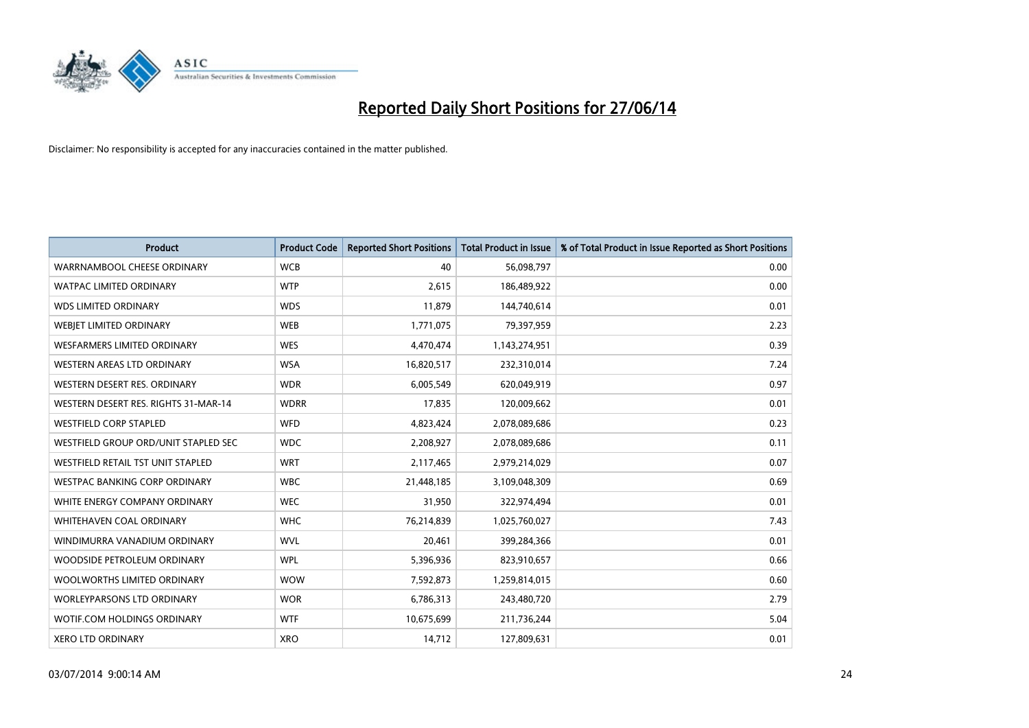

| <b>Product</b>                       | <b>Product Code</b> | <b>Reported Short Positions</b> | <b>Total Product in Issue</b> | % of Total Product in Issue Reported as Short Positions |
|--------------------------------------|---------------------|---------------------------------|-------------------------------|---------------------------------------------------------|
| WARRNAMBOOL CHEESE ORDINARY          | <b>WCB</b>          | 40                              | 56,098,797                    | 0.00                                                    |
| <b>WATPAC LIMITED ORDINARY</b>       | <b>WTP</b>          | 2,615                           | 186,489,922                   | 0.00                                                    |
| <b>WDS LIMITED ORDINARY</b>          | <b>WDS</b>          | 11,879                          | 144,740,614                   | 0.01                                                    |
| WEBIET LIMITED ORDINARY              | <b>WEB</b>          | 1,771,075                       | 79,397,959                    | 2.23                                                    |
| <b>WESFARMERS LIMITED ORDINARY</b>   | <b>WES</b>          | 4,470,474                       | 1,143,274,951                 | 0.39                                                    |
| WESTERN AREAS LTD ORDINARY           | <b>WSA</b>          | 16,820,517                      | 232,310,014                   | 7.24                                                    |
| WESTERN DESERT RES. ORDINARY         | <b>WDR</b>          | 6,005,549                       | 620,049,919                   | 0.97                                                    |
| WESTERN DESERT RES. RIGHTS 31-MAR-14 | <b>WDRR</b>         | 17,835                          | 120,009,662                   | 0.01                                                    |
| <b>WESTFIELD CORP STAPLED</b>        | <b>WFD</b>          | 4,823,424                       | 2,078,089,686                 | 0.23                                                    |
| WESTFIELD GROUP ORD/UNIT STAPLED SEC | <b>WDC</b>          | 2,208,927                       | 2,078,089,686                 | 0.11                                                    |
| WESTFIELD RETAIL TST UNIT STAPLED    | <b>WRT</b>          | 2,117,465                       | 2,979,214,029                 | 0.07                                                    |
| <b>WESTPAC BANKING CORP ORDINARY</b> | <b>WBC</b>          | 21,448,185                      | 3,109,048,309                 | 0.69                                                    |
| WHITE ENERGY COMPANY ORDINARY        | <b>WEC</b>          | 31,950                          | 322,974,494                   | 0.01                                                    |
| WHITEHAVEN COAL ORDINARY             | <b>WHC</b>          | 76,214,839                      | 1,025,760,027                 | 7.43                                                    |
| WINDIMURRA VANADIUM ORDINARY         | <b>WVL</b>          | 20,461                          | 399,284,366                   | 0.01                                                    |
| WOODSIDE PETROLEUM ORDINARY          | <b>WPL</b>          | 5,396,936                       | 823,910,657                   | 0.66                                                    |
| WOOLWORTHS LIMITED ORDINARY          | <b>WOW</b>          | 7,592,873                       | 1,259,814,015                 | 0.60                                                    |
| <b>WORLEYPARSONS LTD ORDINARY</b>    | <b>WOR</b>          | 6,786,313                       | 243,480,720                   | 2.79                                                    |
| WOTIF.COM HOLDINGS ORDINARY          | <b>WTF</b>          | 10,675,699                      | 211,736,244                   | 5.04                                                    |
| <b>XERO LTD ORDINARY</b>             | <b>XRO</b>          | 14,712                          | 127,809,631                   | 0.01                                                    |